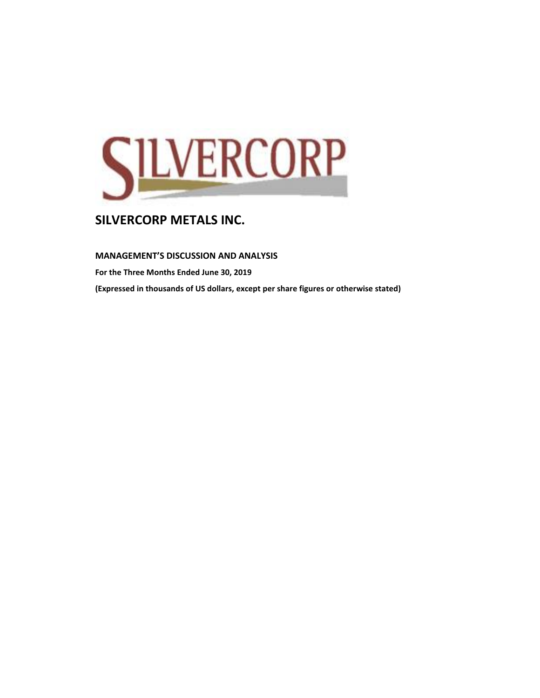

**MANAGEMENT'S DISCUSSION AND ANALYSIS** 

**For the Three Months Ended June 30, 2019**

**(Expressed in thousands of US dollars, except per share figures or otherwise stated)**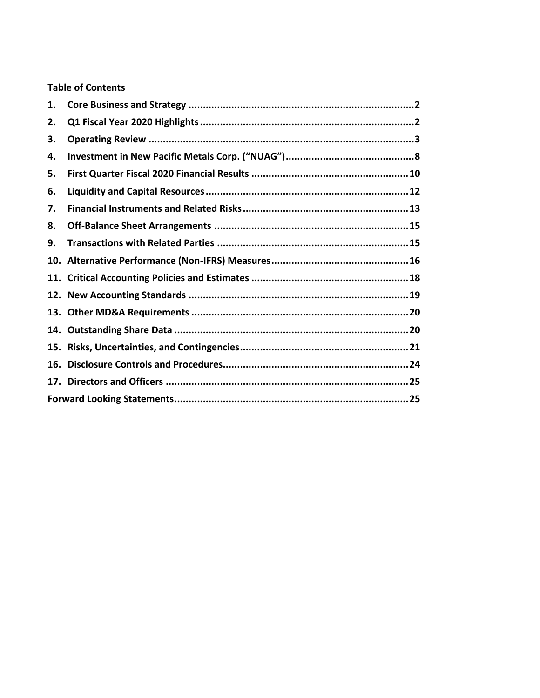# **Table of Contents**

| 1.  |  |
|-----|--|
| 2.  |  |
| З.  |  |
| 4.  |  |
| 5.  |  |
| 6.  |  |
| 7.  |  |
| 8.  |  |
| 9.  |  |
|     |  |
|     |  |
|     |  |
|     |  |
| 14. |  |
|     |  |
| 16. |  |
|     |  |
|     |  |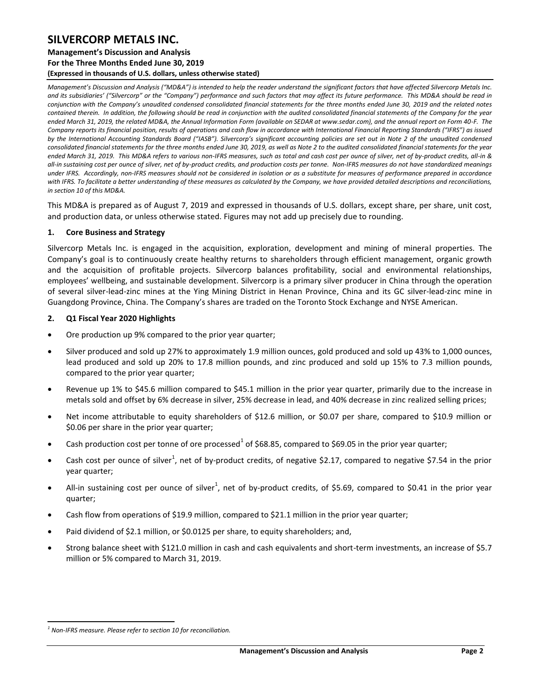#### **Management's Discussion and Analysis**

**For the Three Months Ended June 30, 2019**

**(Expressed in thousands of U.S. dollars, unless otherwise stated)** 

*Management's Discussion and Analysis ("MD&A") is intended to help the reader understand the significant factors that have affected Silvercorp Metals Inc.*  and its subsidiaries' ("Silvercorp" or the "Company") performance and such factors that may affect its future performance. This MD&A should be read in *conjunction with the Company's unaudited condensed consolidated financial statements for the three months ended June 30, 2019 and the related notes contained therein. In addition, the following should be read in conjunction with the audited consolidated financial statements of the Company for the year ended March 31, 2019, the related MD&A, the Annual Information Form (available on SEDAR at www.sedar.com), and the annual report on Form 40-F. The Company reports its financial position, results of operations and cash flow in accordance with International Financial Reporting Standards ("IFRS") as issued by the International Accounting Standards Board ("IASB"). Silvercorp's significant accounting policies are set out in Note 2 of the unaudited condensed consolidated financial statements for the three months ended June 30, 2019, as well as Note 2 to the audited consolidated financial statements for the year ended March 31, 2019. This MD&A refers to various non-IFRS measures, such as total and cash cost per ounce of silver, net of by-product credits, all-in & all-in sustaining cost per ounce of silver, net of by-product credits, and production costs per tonne. Non-IFRS measures do not have standardized meanings under IFRS. Accordingly, non-IFRS measures should not be considered in isolation or as a substitute for measures of performance prepared in accordance with IFRS. To facilitate a better understanding of these measures as calculated by the Company, we have provided detailed descriptions and reconciliations, in section 10 of this MD&A.* 

This MD&A is prepared as of August 7, 2019 and expressed in thousands of U.S. dollars, except share, per share, unit cost, and production data, or unless otherwise stated. Figures may not add up precisely due to rounding.

#### <span id="page-2-0"></span>**1. Core Business and Strategy**

Silvercorp Metals Inc. is engaged in the acquisition, exploration, development and mining of mineral properties. The Company's goal is to continuously create healthy returns to shareholders through efficient management, organic growth and the acquisition of profitable projects. Silvercorp balances profitability, social and environmental relationships, employees' wellbeing, and sustainable development. Silvercorp is a primary silver producer in China through the operation of several silver-lead-zinc mines at the Ying Mining District in Henan Province, China and its GC silver-lead-zinc mine in Guangdong Province, China. The Company's shares are traded on the Toronto Stock Exchange and NYSE American.

#### <span id="page-2-1"></span>**2. Q1 Fiscal Year 2020 Highlights**

- Ore production up 9% compared to the prior year quarter;
- Silver produced and sold up 27% to approximately 1.9 million ounces, gold produced and sold up 43% to 1,000 ounces, lead produced and sold up 20% to 17.8 million pounds, and zinc produced and sold up 15% to 7.3 million pounds, compared to the prior year quarter;
- Revenue up 1% to \$45.6 million compared to \$45.1 million in the prior year quarter, primarily due to the increase in metals sold and offset by 6% decrease in silver, 25% decrease in lead, and 40% decrease in zinc realized selling prices;
- Net income attributable to equity shareholders of \$12.6 million, or \$0.07 per share, compared to \$10.9 million or \$0.06 per share in the prior year quarter;
- Cash production cost per tonne of ore processed<sup>1</sup> of \$68.85, compared to \$69.05 in the prior year quarter;
- Cash cost per ounce of silver<sup>1</sup>, net of by-product credits, of negative \$2.17, compared to negative \$7.54 in the prior year quarter;
- All-in sustaining cost per ounce of silver<sup>1</sup>, net of by-product credits, of \$5.69, compared to \$0.41 in the prior year quarter;
- Cash flow from operations of \$19.9 million, compared to \$21.1 million in the prior year quarter;
- Paid dividend of \$2.1 million, or \$0.0125 per share, to equity shareholders; and,
- Strong balance sheet with \$121.0 million in cash and cash equivalents and short-term investments, an increase of \$5.7 million or 5% compared to March 31, 2019.

 $\overline{a}$ *1 Non-IFRS measure. Please refer to section 10 for reconciliation.*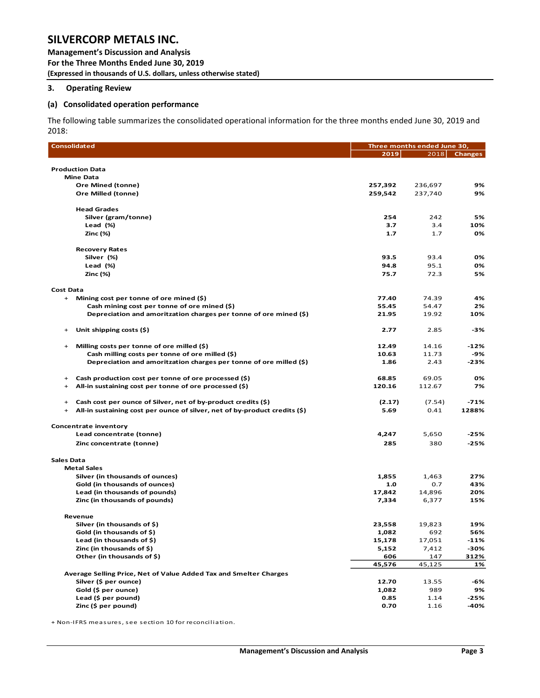**Management's Discussion and Analysis For the Three Months Ended June 30, 2019 (Expressed in thousands of U.S. dollars, unless otherwise stated)** 

#### <span id="page-3-0"></span>**3. Operating Review**

#### **(a) Consolidated operation performance**

The following table summarizes the consolidated operational information for the three months ended June 30, 2019 and 2018:

| <b>Consolidated</b>                                                                        |               | Three months ended June 30, |                |
|--------------------------------------------------------------------------------------------|---------------|-----------------------------|----------------|
|                                                                                            | 2019          | 2018                        | <b>Changes</b> |
|                                                                                            |               |                             |                |
| <b>Production Data</b>                                                                     |               |                             |                |
| <b>Mine Data</b>                                                                           |               |                             |                |
| <b>Ore Mined (tonne)</b><br>Ore Milled (tonne)                                             | 257,392       | 236,697                     | 9%             |
|                                                                                            | 259,542       | 237,740                     | 9%             |
| <b>Head Grades</b>                                                                         |               |                             |                |
| Silver (gram/tonne)                                                                        | 254           | 242                         | 5%             |
| Lead (%)                                                                                   | 3.7           | 3.4                         | 10%            |
| Zinc (%)                                                                                   | $1.7$         | 1.7                         | 0%             |
| <b>Recovery Rates</b>                                                                      |               |                             |                |
| Silver (%)                                                                                 | 93.5          | 93.4                        | 0%             |
| Lead (%)                                                                                   | 94.8          | 95.1                        | 0%             |
| Zinc (%)                                                                                   | 75.7          | 72.3                        | 5%             |
| <b>Cost Data</b>                                                                           |               |                             |                |
| Mining cost per tonne of ore mined (\$)<br>$+$                                             | 77.40         | 74.39                       | 4%             |
| Cash mining cost per tonne of ore mined (\$)                                               | 55.45         | 54.47                       | 2%             |
| Depreciation and amoritzation charges per tonne of ore mined (\$)                          | 21.95         | 19.92                       | 10%            |
|                                                                                            |               |                             |                |
| Unit shipping costs (\$)<br>$+$                                                            | 2.77          | 2.85                        | -3%            |
| Milling costs per tonne of ore milled (\$)<br>$+$                                          | 12.49         | 14.16                       | -12%           |
| Cash milling costs per tonne of ore milled (\$)                                            | 10.63         | 11.73                       | -9%            |
| Depreciation and amoritzation charges per tonne of ore milled (\$)                         | 1.86          | 2.43                        | $-23%$         |
| Cash production cost per tonne of ore processed (\$)<br>$+$                                | 68.85         | 69.05                       | 0%             |
| All-in sustaining cost per tonne of ore processed (\$)<br>$\ddot{}$                        | 120.16        | 112.67                      | 7%             |
|                                                                                            |               |                             |                |
| Cash cost per ounce of Silver, net of by-product credits (\$)<br>$^{+}$                    | (2.17)        | (7.54)                      | $-71%$         |
| All-in sustaining cost per ounce of silver, net of by-product credits (\$)<br>$\ddot{}$    | 5.69          | 0.41                        | 1288%          |
| <b>Concentrate inventory</b>                                                               |               |                             |                |
| Lead concentrate (tonne)                                                                   | 4,247         | 5,650                       | $-25%$         |
| Zinc concentrate (tonne)                                                                   | 285           | 380                         | $-25%$         |
| <b>Sales Data</b>                                                                          |               |                             |                |
| <b>Metal Sales</b>                                                                         |               |                             |                |
| Silver (in thousands of ounces)                                                            | 1,855         | 1,463                       | 27%            |
| Gold (in thousands of ounces)                                                              | 1.0           | 0.7                         | 43%            |
| Lead (in thousands of pounds)                                                              | 17,842        | 14,896                      | 20%            |
| Zinc (in thousands of pounds)                                                              | 7,334         | 6,377                       | 15%            |
|                                                                                            |               |                             |                |
| Revenue                                                                                    |               |                             |                |
| Silver (in thousands of \$)                                                                | 23,558        | 19,823                      | 19%            |
| Gold (in thousands of \$)<br>Lead (in thousands of \$)                                     | 1,082         | 692                         | 56%            |
|                                                                                            | 15,178        | 17,051                      | $-11%$         |
| Zinc (in thousands of \$)                                                                  | 5,152         | 7,412                       | -30%           |
| Other (in thousands of \$)                                                                 | 606           | 147                         | 312%           |
|                                                                                            | 45,576        | 45,125                      | 1%             |
| Average Selling Price, Net of Value Added Tax and Smelter Charges<br>Silver (\$ per ounce) | 12.70         |                             |                |
|                                                                                            |               | 13.55                       | -6%            |
| Gold (\$ per ounce)<br>Lead (\$ per pound)                                                 | 1,082<br>0.85 | 989                         | 9%             |
|                                                                                            |               | 1.14                        | $-25%$         |
| Zinc (\$ per pound)                                                                        | 0.70          | 1.16                        | -40%           |

+ Non-IFRS measures, see section 10 for reconciliation.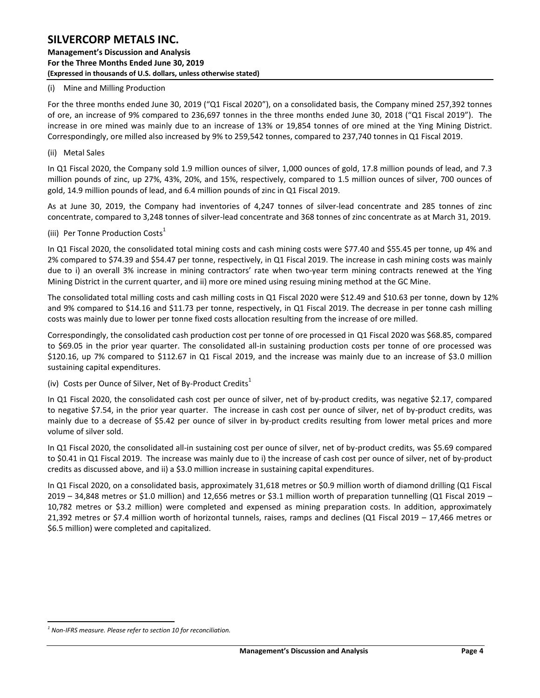#### (i) Mine and Milling Production

For the three months ended June 30, 2019 ("Q1 Fiscal 2020"), on a consolidated basis, the Company mined 257,392 tonnes of ore, an increase of 9% compared to 236,697 tonnes in the three months ended June 30, 2018 ("Q1 Fiscal 2019"). The increase in ore mined was mainly due to an increase of 13% or 19,854 tonnes of ore mined at the Ying Mining District. Correspondingly, ore milled also increased by 9% to 259,542 tonnes, compared to 237,740 tonnes in Q1 Fiscal 2019.

#### (ii) Metal Sales

In Q1 Fiscal 2020, the Company sold 1.9 million ounces of silver, 1,000 ounces of gold, 17.8 million pounds of lead, and 7.3 million pounds of zinc, up 27%, 43%, 20%, and 15%, respectively, compared to 1.5 million ounces of silver, 700 ounces of gold, 14.9 million pounds of lead, and 6.4 million pounds of zinc in Q1 Fiscal 2019.

As at June 30, 2019, the Company had inventories of 4,247 tonnes of silver-lead concentrate and 285 tonnes of zinc concentrate, compared to 3,248 tonnes of silver-lead concentrate and 368 tonnes of zinc concentrate as at March 31, 2019.

(iii) Per Tonne Production Costs<sup>1</sup>

In Q1 Fiscal 2020, the consolidated total mining costs and cash mining costs were \$77.40 and \$55.45 per tonne, up 4% and 2% compared to \$74.39 and \$54.47 per tonne, respectively, in Q1 Fiscal 2019. The increase in cash mining costs was mainly due to i) an overall 3% increase in mining contractors' rate when two-year term mining contracts renewed at the Ying Mining District in the current quarter, and ii) more ore mined using resuing mining method at the GC Mine.

The consolidated total milling costs and cash milling costs in Q1 Fiscal 2020 were \$12.49 and \$10.63 per tonne, down by 12% and 9% compared to \$14.16 and \$11.73 per tonne, respectively, in Q1 Fiscal 2019. The decrease in per tonne cash milling costs was mainly due to lower per tonne fixed costs allocation resulting from the increase of ore milled.

Correspondingly, the consolidated cash production cost per tonne of ore processed in Q1 Fiscal 2020 was \$68.85, compared to \$69.05 in the prior year quarter. The consolidated all-in sustaining production costs per tonne of ore processed was \$120.16, up 7% compared to \$112.67 in Q1 Fiscal 2019, and the increase was mainly due to an increase of \$3.0 million sustaining capital expenditures.

(iv) Costs per Ounce of Silver, Net of By-Product Credits<sup>1</sup>

In Q1 Fiscal 2020, the consolidated cash cost per ounce of silver, net of by-product credits, was negative \$2.17, compared to negative \$7.54, in the prior year quarter. The increase in cash cost per ounce of silver, net of by-product credits, was mainly due to a decrease of \$5.42 per ounce of silver in by-product credits resulting from lower metal prices and more volume of silver sold.

In Q1 Fiscal 2020, the consolidated all-in sustaining cost per ounce of silver, net of by-product credits, was \$5.69 compared to \$0.41 in Q1 Fiscal 2019. The increase was mainly due to i) the increase of cash cost per ounce of silver, net of by-product credits as discussed above, and ii) a \$3.0 million increase in sustaining capital expenditures.

In Q1 Fiscal 2020, on a consolidated basis, approximately 31,618 metres or \$0.9 million worth of diamond drilling (Q1 Fiscal 2019 – 34,848 metres or \$1.0 million) and 12,656 metres or \$3.1 million worth of preparation tunnelling (Q1 Fiscal 2019 – 10,782 metres or \$3.2 million) were completed and expensed as mining preparation costs. In addition, approximately 21,392 metres or \$7.4 million worth of horizontal tunnels, raises, ramps and declines (Q1 Fiscal 2019 – 17,466 metres or \$6.5 million) were completed and capitalized.

 $\overline{a}$ *1 Non-IFRS measure. Please refer to section 10 for reconciliation.*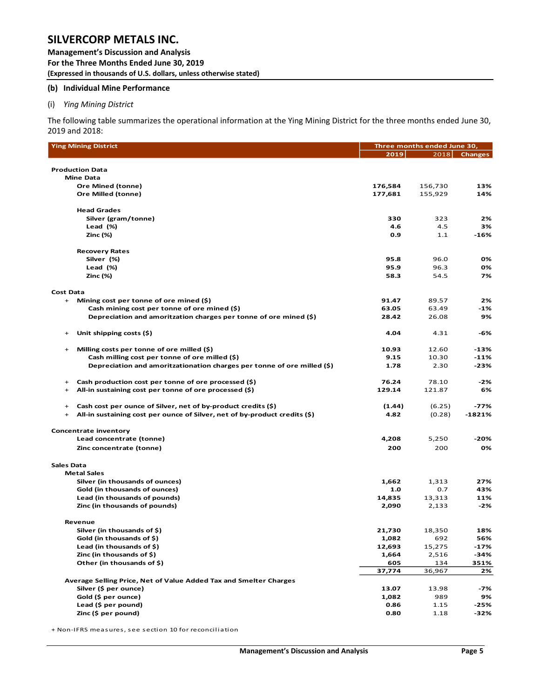**Management's Discussion and Analysis For the Three Months Ended June 30, 2019 (Expressed in thousands of U.S. dollars, unless otherwise stated)** 

#### **(b) Individual Mine Performance**

#### (i) *Ying Mining District*

The following table summarizes the operational information at the Ying Mining District for the three months ended June 30, 2019 and 2018:

|                   | <b>Ying Mining District</b>                                                |              | Three months ended June 30, |                |  |  |  |  |  |
|-------------------|----------------------------------------------------------------------------|--------------|-----------------------------|----------------|--|--|--|--|--|
|                   |                                                                            | 2019         | 2018                        | <b>Changes</b> |  |  |  |  |  |
|                   |                                                                            |              |                             |                |  |  |  |  |  |
|                   | <b>Production Data</b><br><b>Mine Data</b>                                 |              |                             |                |  |  |  |  |  |
|                   | <b>Ore Mined (tonne)</b>                                                   | 176,584      | 156,730                     | 13%            |  |  |  |  |  |
|                   | <b>Ore Milled (tonne)</b>                                                  | 177,681      | 155,929                     | 14%            |  |  |  |  |  |
|                   |                                                                            |              |                             |                |  |  |  |  |  |
|                   | <b>Head Grades</b>                                                         |              |                             |                |  |  |  |  |  |
|                   | Silver (gram/tonne)                                                        | 330          | 323                         | 2%             |  |  |  |  |  |
|                   | Lead $(\%)$                                                                | 4.6          | 4.5                         | 3%             |  |  |  |  |  |
|                   | Zinc (%)                                                                   | 0.9          | 1.1                         | -16%           |  |  |  |  |  |
|                   | <b>Recovery Rates</b>                                                      |              |                             |                |  |  |  |  |  |
|                   | Silver (%)                                                                 | 95.8         | 96.0                        | 0%             |  |  |  |  |  |
|                   | Lead $(\%)$                                                                | 95.9         | 96.3                        | 0%             |  |  |  |  |  |
|                   | Zinc (%)                                                                   | 58.3         | 54.5                        | 7%             |  |  |  |  |  |
| <b>Cost Data</b>  |                                                                            |              |                             |                |  |  |  |  |  |
| $+$               | Mining cost per tonne of ore mined (\$)                                    | 91.47        | 89.57                       | 2%             |  |  |  |  |  |
|                   | Cash mining cost per tonne of ore mined $(\xi)$                            | 63.05        | 63.49                       | -1%            |  |  |  |  |  |
|                   | Depreciation and amoritzation charges per tonne of ore mined (\$)          | 28.42        | 26.08                       | 9%             |  |  |  |  |  |
|                   |                                                                            |              |                             |                |  |  |  |  |  |
| $+$               | Unit shipping costs (\$)                                                   | 4.04         | 4.31                        | -6%            |  |  |  |  |  |
| $^{+}$            | Milling costs per tonne of ore milled (\$)                                 | 10.93        | 12.60                       | $-13%$         |  |  |  |  |  |
|                   | Cash milling cost per tonne of ore milled (\$)                             | 9.15         | 10.30                       | $-11%$         |  |  |  |  |  |
|                   | Depreciation and amoritzationation charges per tonne of ore milled $(\xi)$ | 1.78         | 2.30                        | -23%           |  |  |  |  |  |
| $+$               | Cash production cost per tonne of ore processed (\$)                       | 76.24        | 78.10                       | -2%            |  |  |  |  |  |
| $+$               | All-in sustaining cost per tonne of ore processed (\$)                     | 129.14       | 121.87                      | 6%             |  |  |  |  |  |
|                   |                                                                            |              |                             |                |  |  |  |  |  |
| $^{+}$            | Cash cost per ounce of Silver, net of by-product credits (\$)              | (1.44)       | (6.25)                      | $-77%$         |  |  |  |  |  |
| $^{+}$            | All-in sustaining cost per ounce of Silver, net of by-product credits (\$) | 4.82         | (0.28)                      | $-1821%$       |  |  |  |  |  |
|                   | <b>Concentrate inventory</b>                                               |              |                             |                |  |  |  |  |  |
|                   | Lead concentrate (tonne)                                                   | 4,208        | 5,250                       | -20%           |  |  |  |  |  |
|                   | Zinc concentrate (tonne)                                                   | 200          | 200                         | 0%             |  |  |  |  |  |
|                   |                                                                            |              |                             |                |  |  |  |  |  |
| <b>Sales Data</b> | <b>Metal Sales</b>                                                         |              |                             |                |  |  |  |  |  |
|                   | Silver (in thousands of ounces)                                            | 1,662        | 1,313                       | 27%            |  |  |  |  |  |
|                   | Gold (in thousands of ounces)                                              | 1.0          | 0.7                         | 43%            |  |  |  |  |  |
|                   | Lead (in thousands of pounds)                                              | 14,835       | 13,313                      | 11%            |  |  |  |  |  |
|                   | Zinc (in thousands of pounds)                                              | 2,090        | 2,133                       | -2%            |  |  |  |  |  |
|                   |                                                                            |              |                             |                |  |  |  |  |  |
|                   | Revenue                                                                    |              |                             |                |  |  |  |  |  |
|                   | Silver (in thousands of \$)                                                | 21,730       | 18,350                      | 18%            |  |  |  |  |  |
|                   | Gold (in thousands of \$)                                                  | 1,082        | 692                         | 56%            |  |  |  |  |  |
|                   | Lead (in thousands of \$)<br>Zinc (in thousands of \$)                     | 12,693       | 15,275<br>2,516             | -17%<br>-34%   |  |  |  |  |  |
|                   | Other (in thousands of \$)                                                 | 1,664<br>605 | 134                         | 351%           |  |  |  |  |  |
|                   |                                                                            | 37,774       | 36,967                      | 2%             |  |  |  |  |  |
|                   | Average Selling Price, Net of Value Added Tax and Smelter Charges          |              |                             |                |  |  |  |  |  |
|                   | Silver (\$ per ounce)                                                      | 13.07        | 13.98                       | -7%            |  |  |  |  |  |
|                   | Gold (\$ per ounce)                                                        | 1,082        | 989                         | 9%             |  |  |  |  |  |
|                   | Lead (\$ per pound)                                                        | 0.86         | 1.15                        | -25%           |  |  |  |  |  |
|                   | Zinc (\$ per pound)                                                        | 0.80         | 1.18                        | -32%           |  |  |  |  |  |
|                   |                                                                            |              |                             |                |  |  |  |  |  |

+ Non-IFRS measures, see section 10 for reconciliation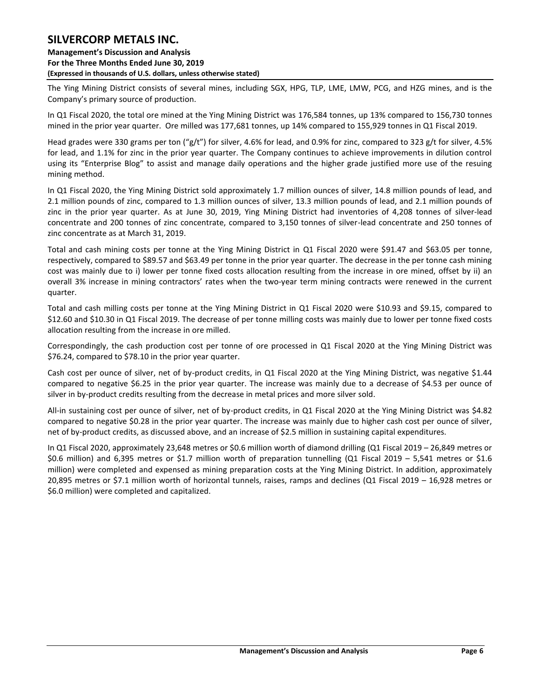The Ying Mining District consists of several mines, including SGX, HPG, TLP, LME, LMW, PCG, and HZG mines, and is the Company's primary source of production.

In Q1 Fiscal 2020, the total ore mined at the Ying Mining District was 176,584 tonnes, up 13% compared to 156,730 tonnes mined in the prior year quarter. Ore milled was 177,681 tonnes, up 14% compared to 155,929 tonnes in Q1 Fiscal 2019.

Head grades were 330 grams per ton ("g/t") for silver, 4.6% for lead, and 0.9% for zinc, compared to 323 g/t for silver, 4.5% for lead, and 1.1% for zinc in the prior year quarter. The Company continues to achieve improvements in dilution control using its "Enterprise Blog" to assist and manage daily operations and the higher grade justified more use of the resuing mining method.

In Q1 Fiscal 2020, the Ying Mining District sold approximately 1.7 million ounces of silver, 14.8 million pounds of lead, and 2.1 million pounds of zinc, compared to 1.3 million ounces of silver, 13.3 million pounds of lead, and 2.1 million pounds of zinc in the prior year quarter. As at June 30, 2019, Ying Mining District had inventories of 4,208 tonnes of silver-lead concentrate and 200 tonnes of zinc concentrate, compared to 3,150 tonnes of silver-lead concentrate and 250 tonnes of zinc concentrate as at March 31, 2019.

Total and cash mining costs per tonne at the Ying Mining District in Q1 Fiscal 2020 were \$91.47 and \$63.05 per tonne, respectively, compared to \$89.57 and \$63.49 per tonne in the prior year quarter. The decrease in the per tonne cash mining cost was mainly due to i) lower per tonne fixed costs allocation resulting from the increase in ore mined, offset by ii) an overall 3% increase in mining contractors' rates when the two-year term mining contracts were renewed in the current quarter.

Total and cash milling costs per tonne at the Ying Mining District in Q1 Fiscal 2020 were \$10.93 and \$9.15, compared to \$12.60 and \$10.30 in Q1 Fiscal 2019. The decrease of per tonne milling costs was mainly due to lower per tonne fixed costs allocation resulting from the increase in ore milled.

Correspondingly, the cash production cost per tonne of ore processed in Q1 Fiscal 2020 at the Ying Mining District was \$76.24, compared to \$78.10 in the prior year quarter.

Cash cost per ounce of silver, net of by-product credits, in Q1 Fiscal 2020 at the Ying Mining District, was negative \$1.44 compared to negative \$6.25 in the prior year quarter. The increase was mainly due to a decrease of \$4.53 per ounce of silver in by-product credits resulting from the decrease in metal prices and more silver sold.

All-in sustaining cost per ounce of silver, net of by-product credits, in Q1 Fiscal 2020 at the Ying Mining District was \$4.82 compared to negative \$0.28 in the prior year quarter. The increase was mainly due to higher cash cost per ounce of silver, net of by-product credits, as discussed above, and an increase of \$2.5 million in sustaining capital expenditures.

In Q1 Fiscal 2020, approximately 23,648 metres or \$0.6 million worth of diamond drilling (Q1 Fiscal 2019 – 26,849 metres or \$0.6 million) and 6,395 metres or \$1.7 million worth of preparation tunnelling (Q1 Fiscal 2019 – 5,541 metres or \$1.6 million) were completed and expensed as mining preparation costs at the Ying Mining District. In addition, approximately 20,895 metres or \$7.1 million worth of horizontal tunnels, raises, ramps and declines (Q1 Fiscal 2019 – 16,928 metres or \$6.0 million) were completed and capitalized.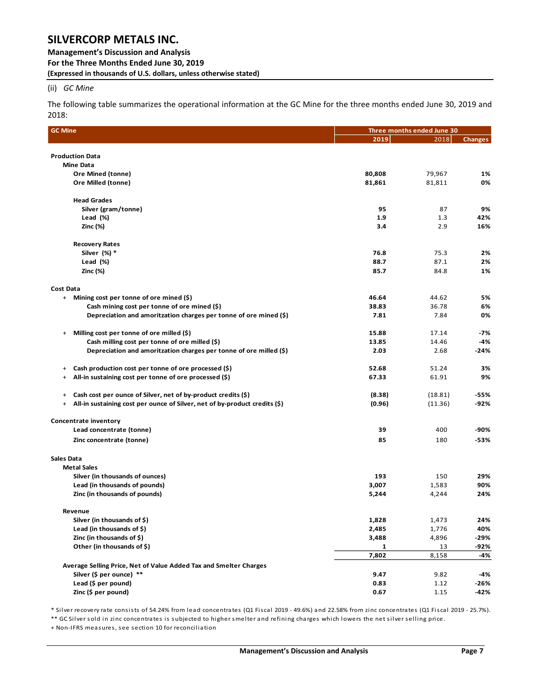**Management's Discussion and Analysis For the Three Months Ended June 30, 2019 (Expressed in thousands of U.S. dollars, unless otherwise stated)** 

#### (ii) *GC Mine*

The following table summarizes the operational information at the GC Mine for the three months ended June 30, 2019 and 2018:

| <b>GC Mine</b>                                                                    | Three months ended June 30 |           |                |  |  |  |  |
|-----------------------------------------------------------------------------------|----------------------------|-----------|----------------|--|--|--|--|
|                                                                                   | 2019                       | 2018      | <b>Changes</b> |  |  |  |  |
| <b>Production Data</b>                                                            |                            |           |                |  |  |  |  |
| <b>Mine Data</b>                                                                  |                            |           |                |  |  |  |  |
| <b>Ore Mined (tonne)</b>                                                          | 80,808                     | 79,967    | 1%             |  |  |  |  |
| Ore Milled (tonne)                                                                | 81,861                     | 81,811    | 0%             |  |  |  |  |
|                                                                                   |                            |           |                |  |  |  |  |
| <b>Head Grades</b>                                                                |                            |           |                |  |  |  |  |
| Silver (gram/tonne)                                                               | 95                         | 87        | 9%             |  |  |  |  |
| Lead $(\%)$                                                                       | 1.9                        | 1.3       | 42%            |  |  |  |  |
| <b>Zinc (%)</b>                                                                   | 3.4                        | 2.9       | 16%            |  |  |  |  |
| <b>Recovery Rates</b>                                                             |                            |           |                |  |  |  |  |
| Silver (%) *                                                                      | 76.8                       | 75.3      | 2%             |  |  |  |  |
| Lead (%)                                                                          | 88.7                       | 87.1      | 2%             |  |  |  |  |
| <b>Zinc (%)</b>                                                                   | 85.7                       | 84.8      | 1%             |  |  |  |  |
| Cost Data                                                                         |                            |           |                |  |  |  |  |
| + Mining cost per tonne of ore mined (\$)                                         | 46.64                      | 44.62     | 5%             |  |  |  |  |
| Cash mining cost per tonne of ore mined $(\xi)$                                   | 38.83                      | 36.78     | 6%             |  |  |  |  |
| Depreciation and amoritzation charges per tonne of ore mined (\$)                 | 7.81                       | 7.84      | 0%             |  |  |  |  |
| Milling cost per tonne of ore milled (\$)<br>$+$                                  | 15.88                      | 17.14     | -7%            |  |  |  |  |
| Cash milling cost per tonne of ore milled (\$)                                    | 13.85                      | 14.46     | -4%            |  |  |  |  |
| Depreciation and amoritzation charges per tonne of ore milled (\$)                | 2.03                       | 2.68      | -24%           |  |  |  |  |
|                                                                                   |                            |           |                |  |  |  |  |
| Cash production cost per tonne of ore processed (\$)<br>$+$                       | 52.68                      | 51.24     | 3%             |  |  |  |  |
| All-in sustaining cost per tonne of ore processed (\$)<br>$\ddot{}$               | 67.33                      | 61.91     | 9%             |  |  |  |  |
| Cash cost per ounce of Silver, net of by-product credits (\$)<br>$+$              | (8.38)                     | (18.81)   | -55%           |  |  |  |  |
| All-in sustaining cost per ounce of Silver, net of by-product credits (\$)<br>$+$ | (0.96)                     | (11.36)   | -92%           |  |  |  |  |
|                                                                                   |                            |           |                |  |  |  |  |
| <b>Concentrate inventory</b>                                                      |                            |           |                |  |  |  |  |
| Lead concentrate (tonne)                                                          | 39                         | 400       | -90%           |  |  |  |  |
| Zinc concentrate (tonne)                                                          | 85                         | 180       | -53%           |  |  |  |  |
| Sales Data                                                                        |                            |           |                |  |  |  |  |
| <b>Metal Sales</b>                                                                |                            |           |                |  |  |  |  |
| Silver (in thousands of ounces)                                                   | 193                        | 150       | 29%            |  |  |  |  |
| Lead (in thousands of pounds)                                                     | 3,007                      | 1,583     | 90%            |  |  |  |  |
| Zinc (in thousands of pounds)                                                     | 5,244                      | 4,244     | 24%            |  |  |  |  |
| Revenue                                                                           |                            |           |                |  |  |  |  |
| Silver (in thousands of \$)                                                       | 1,828                      | 1,473     | 24%            |  |  |  |  |
| Lead (in thousands of \$)                                                         | 2,485                      | 1,776     | 40%            |  |  |  |  |
| Zinc (in thousands of \$)                                                         | 3,488                      | 4,896     | $-29%$         |  |  |  |  |
| Other (in thousands of \$)                                                        | 1                          | <u>13</u> | -92%           |  |  |  |  |
|                                                                                   | 7,802                      | 8,158     | $-4%$          |  |  |  |  |
| Average Selling Price, Net of Value Added Tax and Smelter Charges                 |                            |           |                |  |  |  |  |
| Silver (\$ per ounce) **                                                          | 9.47                       | 9.82      | -4%            |  |  |  |  |
| Lead (\$ per pound)                                                               | 0.83                       | 1.12      | $-26%$         |  |  |  |  |
| Zinc (\$ per pound)                                                               | 0.67                       | 1.15      | $-42%$         |  |  |  |  |

\* Silver recovery rate consists of 54.24% from lead concentrates (Q1 Fiscal 2019 - 49.6%) and 22.58% from zinc concentrates (Q1 Fiscal 2019 - 25.7%).

\*\* GC Silver sold in zinc concentrates is subjected to higher smelter and refining charges which lowers the net silver selling price.

+ Non-IFRS measures, see section 10 for reconciliation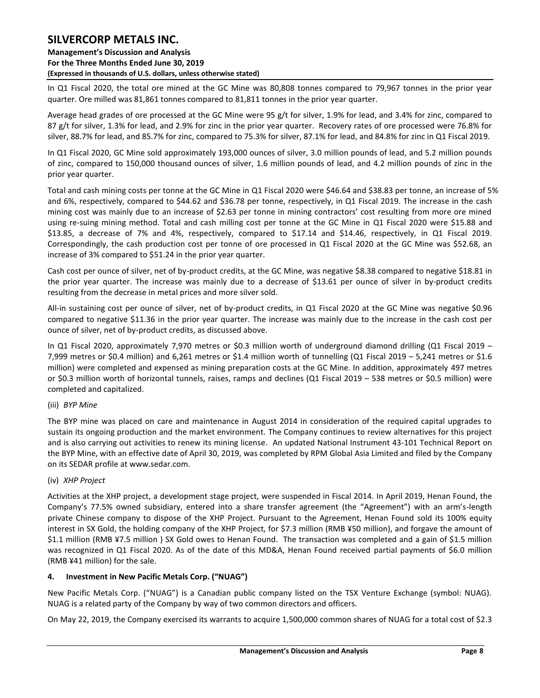**Management's Discussion and Analysis For the Three Months Ended June 30, 2019 (Expressed in thousands of U.S. dollars, unless otherwise stated)** 

In Q1 Fiscal 2020, the total ore mined at the GC Mine was 80,808 tonnes compared to 79,967 tonnes in the prior year quarter. Ore milled was 81,861 tonnes compared to 81,811 tonnes in the prior year quarter.

Average head grades of ore processed at the GC Mine were 95 g/t for silver, 1.9% for lead, and 3.4% for zinc, compared to 87 g/t for silver, 1.3% for lead, and 2.9% for zinc in the prior year quarter. Recovery rates of ore processed were 76.8% for silver, 88.7% for lead, and 85.7% for zinc, compared to 75.3% for silver, 87.1% for lead, and 84.8% for zinc in Q1 Fiscal 2019.

In Q1 Fiscal 2020, GC Mine sold approximately 193,000 ounces of silver, 3.0 million pounds of lead, and 5.2 million pounds of zinc, compared to 150,000 thousand ounces of silver, 1.6 million pounds of lead, and 4.2 million pounds of zinc in the prior year quarter.

Total and cash mining costs per tonne at the GC Mine in Q1 Fiscal 2020 were \$46.64 and \$38.83 per tonne, an increase of 5% and 6%, respectively, compared to \$44.62 and \$36.78 per tonne, respectively, in Q1 Fiscal 2019. The increase in the cash mining cost was mainly due to an increase of \$2.63 per tonne in mining contractors' cost resulting from more ore mined using re-suing mining method. Total and cash milling cost per tonne at the GC Mine in Q1 Fiscal 2020 were \$15.88 and \$13.85, a decrease of 7% and 4%, respectively, compared to \$17.14 and \$14.46, respectively, in Q1 Fiscal 2019. Correspondingly, the cash production cost per tonne of ore processed in Q1 Fiscal 2020 at the GC Mine was \$52.68, an increase of 3% compared to \$51.24 in the prior year quarter.

Cash cost per ounce of silver, net of by-product credits, at the GC Mine, was negative \$8.38 compared to negative \$18.81 in the prior year quarter. The increase was mainly due to a decrease of \$13.61 per ounce of silver in by-product credits resulting from the decrease in metal prices and more silver sold.

All-in sustaining cost per ounce of silver, net of by-product credits, in Q1 Fiscal 2020 at the GC Mine was negative \$0.96 compared to negative \$11.36 in the prior year quarter. The increase was mainly due to the increase in the cash cost per ounce of silver, net of by-product credits, as discussed above.

In Q1 Fiscal 2020, approximately 7,970 metres or \$0.3 million worth of underground diamond drilling (Q1 Fiscal 2019 – 7,999 metres or \$0.4 million) and 6,261 metres or \$1.4 million worth of tunnelling (Q1 Fiscal 2019 – 5,241 metres or \$1.6 million) were completed and expensed as mining preparation costs at the GC Mine. In addition, approximately 497 metres or \$0.3 million worth of horizontal tunnels, raises, ramps and declines (Q1 Fiscal 2019 – 538 metres or \$0.5 million) were completed and capitalized.

#### (iii) *BYP Mine*

The BYP mine was placed on care and maintenance in August 2014 in consideration of the required capital upgrades to sustain its ongoing production and the market environment. The Company continues to review alternatives for this project and is also carrying out activities to renew its mining license. An updated National Instrument 43-101 Technical Report on the BYP Mine, with an effective date of April 30, 2019, was completed by RPM Global Asia Limited and filed by the Company on its SEDAR profile at www.sedar.com.

#### (iv) *XHP Project*

Activities at the XHP project, a development stage project, were suspended in Fiscal 2014. In April 2019, Henan Found, the Company's 77.5% owned subsidiary, entered into a share transfer agreement (the "Agreement") with an arm's-length private Chinese company to dispose of the XHP Project. Pursuant to the Agreement, Henan Found sold its 100% equity interest in SX Gold, the holding company of the XHP Project, for \$7.3 million (RMB ¥50 million), and forgave the amount of \$1.1 million (RMB ¥7.5 million ) SX Gold owes to Henan Found. The transaction was completed and a gain of \$1.5 million was recognized in Q1 Fiscal 2020. As of the date of this MD&A, Henan Found received partial payments of \$6.0 million (RMB ¥41 million) for the sale.

#### <span id="page-8-0"></span>**4. Investment in New Pacific Metals Corp. ("NUAG")**

New Pacific Metals Corp. ("NUAG") is a Canadian public company listed on the TSX Venture Exchange (symbol: NUAG). NUAG is a related party of the Company by way of two common directors and officers.

On May 22, 2019, the Company exercised its warrants to acquire 1,500,000 common shares of NUAG for a total cost of \$2.3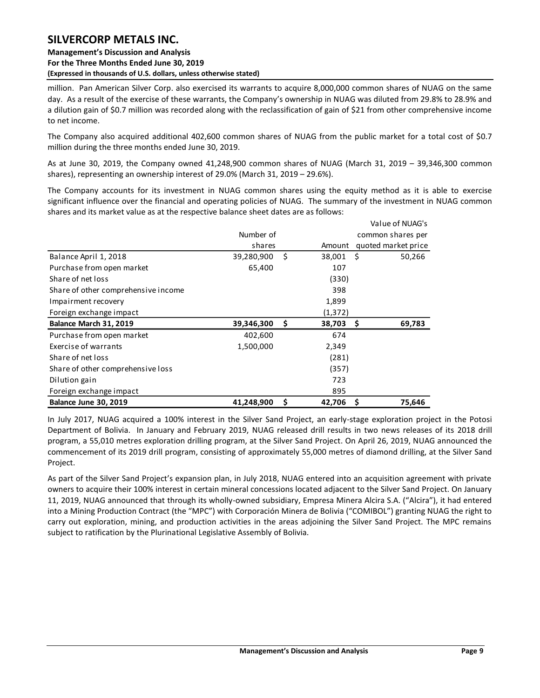### **Management's Discussion and Analysis For the Three Months Ended June 30, 2019 (Expressed in thousands of U.S. dollars, unless otherwise stated)**

million. Pan American Silver Corp. also exercised its warrants to acquire 8,000,000 common shares of NUAG on the same day. As a result of the exercise of these warrants, the Company's ownership in NUAG was diluted from 29.8% to 28.9% and a dilution gain of \$0.7 million was recorded along with the reclassification of gain of \$21 from other comprehensive income to net income.

The Company also acquired additional 402,600 common shares of NUAG from the public market for a total cost of \$0.7 million during the three months ended June 30, 2019.

As at June 30, 2019, the Company owned 41,248,900 common shares of NUAG (March 31, 2019 – 39,346,300 common shares), representing an ownership interest of 29.0% (March 31, 2019 – 29.6%).

The Company accounts for its investment in NUAG common shares using the equity method as it is able to exercise significant influence over the financial and operating policies of NUAG. The summary of the investment in NUAG common shares and its market value as at the respective balance sheet dates are as follows:

|                                     |            |                 | Value of NUAG's     |
|-------------------------------------|------------|-----------------|---------------------|
|                                     | Number of  |                 | common shares per   |
|                                     | shares     | Amount          | quoted market price |
| Balance April 1, 2018               | 39,280,900 | \$<br>38,001 \$ | 50,266              |
| Purchase from open market           | 65,400     | 107             |                     |
| Share of net loss                   |            | (330)           |                     |
| Share of other comprehensive income |            | 398             |                     |
| Impairment recovery                 |            | 1,899           |                     |
| Foreign exchange impact             |            | (1, 372)        |                     |
| Balance March 31, 2019              | 39,346,300 | \$<br>38,703    | 69,783<br>- \$      |
| Purchase from open market           | 402,600    | 674             |                     |
| Exercise of warrants                | 1,500,000  | 2,349           |                     |
| Share of net loss                   |            | (281)           |                     |
| Share of other comprehensive loss   |            | (357)           |                     |
| Dilution gain                       |            | 723             |                     |
| Foreign exchange impact             |            | 895             |                     |
| <b>Balance June 30, 2019</b>        | 41,248,900 | \$<br>42,706    | - S<br>75,646       |

In July 2017, NUAG acquired a 100% interest in the Silver Sand Project, an early-stage exploration project in the Potosi Department of Bolivia. In January and February 2019, NUAG released drill results in two news releases of its 2018 drill program, a 55,010 metres exploration drilling program, at the Silver Sand Project. On April 26, 2019, NUAG announced the commencement of its 2019 drill program, consisting of approximately 55,000 metres of diamond drilling, at the Silver Sand Project.

As part of the Silver Sand Project's expansion plan, in July 2018, NUAG entered into an acquisition agreement with private owners to acquire their 100% interest in certain mineral concessions located adjacent to the Silver Sand Project. On January 11, 2019, NUAG announced that through its wholly-owned subsidiary, Empresa Minera Alcira S.A. ("Alcira"), it had entered into a Mining Production Contract (the "MPC") with Corporación Minera de Bolivia ("COMIBOL") granting NUAG the right to carry out exploration, mining, and production activities in the areas adjoining the Silver Sand Project. The MPC remains subject to ratification by the Plurinational Legislative Assembly of Bolivia.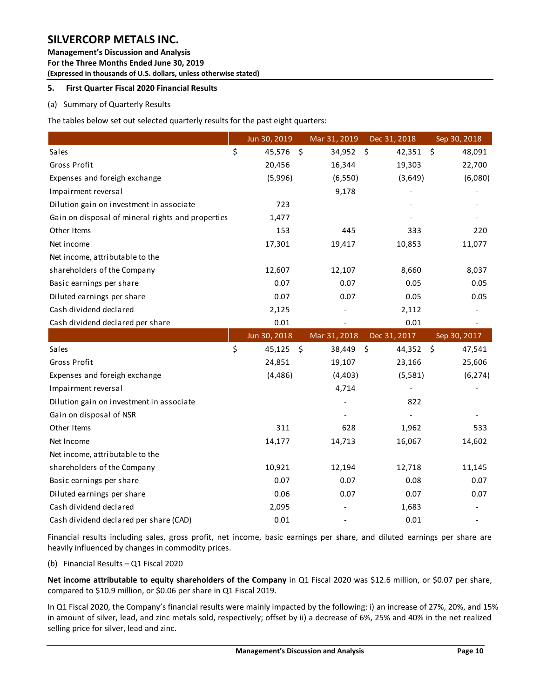**Management's Discussion and Analysis For the Three Months Ended June 30, 2019 (Expressed in thousands of U.S. dollars, unless otherwise stated)** 

### <span id="page-10-0"></span>**5. First Quarter Fiscal 2020 Financial Results**

### (a) Summary of Quarterly Results

The tables below set out selected quarterly results for the past eight quarters:

|                                                   | Jun 30, 2019 |                    | Mar 31, 2019                 | Dec 31, 2018                  | Sep 30, 2018             |
|---------------------------------------------------|--------------|--------------------|------------------------------|-------------------------------|--------------------------|
| Sales                                             | \$<br>45,576 | $\ddot{\varsigma}$ | 34,952                       | - \$<br>42,351                | $\ddot{\zeta}$<br>48,091 |
| Gross Profit                                      | 20,456       |                    | 16,344                       | 19,303                        | 22,700                   |
| Expenses and foreigh exchange                     | (5,996)      |                    | (6, 550)                     | (3,649)                       | (6,080)                  |
| Impairment reversal                               |              |                    | 9,178                        |                               |                          |
| Dilution gain on investment in associate          | 723          |                    |                              |                               |                          |
| Gain on disposal of mineral rights and properties | 1,477        |                    |                              |                               |                          |
| Other Items                                       | 153          |                    | 445                          | 333                           | 220                      |
| Net income                                        | 17,301       |                    | 19,417                       | 10,853                        | 11,077                   |
| Net income, attributable to the                   |              |                    |                              |                               |                          |
| shareholders of the Company                       | 12,607       |                    | 12,107                       | 8,660                         | 8,037                    |
| Basic earnings per share                          | 0.07         |                    | 0.07                         | 0.05                          | 0.05                     |
| Diluted earnings per share                        | 0.07         |                    | 0.07                         | 0.05                          | 0.05                     |
| Cash dividend declared                            | 2,125        |                    |                              | 2,112                         |                          |
| Cash dividend declared per share                  | 0.01         |                    | $\qquad \qquad \blacksquare$ | 0.01                          | $\overline{\phantom{a}}$ |
|                                                   | Jun 30, 2018 |                    | Mar 31, 2018                 | Dec 31, 2017                  | Sep 30, 2017             |
|                                                   |              |                    |                              |                               |                          |
| Sales                                             | \$<br>45,125 | - \$               | 38,449                       | $\ddot{\mathsf{S}}$<br>44,352 | -\$<br>47,541            |
| Gross Profit                                      | 24,851       |                    | 19,107                       | 23,166                        | 25,606                   |
| Expenses and foreigh exchange                     | (4, 486)     |                    | (4, 403)                     | (5, 581)                      | (6, 274)                 |
| Impairment reversal                               |              |                    | 4,714                        |                               |                          |
| Dilution gain on investment in associate          |              |                    |                              | 822                           |                          |
| Gain on disposal of NSR                           |              |                    |                              |                               |                          |
| Other Items                                       | 311          |                    | 628                          | 1,962                         | 533                      |
| Net Income                                        | 14,177       |                    | 14,713                       | 16,067                        | 14,602                   |
| Net income, attributable to the                   |              |                    |                              |                               |                          |
| shareholders of the Company                       | 10,921       |                    | 12,194                       | 12,718                        | 11,145                   |
| Basic earnings per share                          | 0.07         |                    | 0.07                         | 0.08                          | 0.07                     |
| Diluted earnings per share                        | 0.06         |                    | 0.07                         | 0.07                          | 0.07                     |
| Cash dividend declared                            | 2,095        |                    |                              | 1,683                         |                          |

Financial results including sales, gross profit, net income, basic earnings per share, and diluted earnings per share are heavily influenced by changes in commodity prices.

(b) Financial Results – Q1 Fiscal 2020

**Net income attributable to equity shareholders of the Company** in Q1 Fiscal 2020 was \$12.6 million, or \$0.07 per share, compared to \$10.9 million, or \$0.06 per share in Q1 Fiscal 2019.

In Q1 Fiscal 2020, the Company's financial results were mainly impacted by the following: i) an increase of 27%, 20%, and 15% in amount of silver, lead, and zinc metals sold, respectively; offset by ii) a decrease of 6%, 25% and 40% in the net realized selling price for silver, lead and zinc.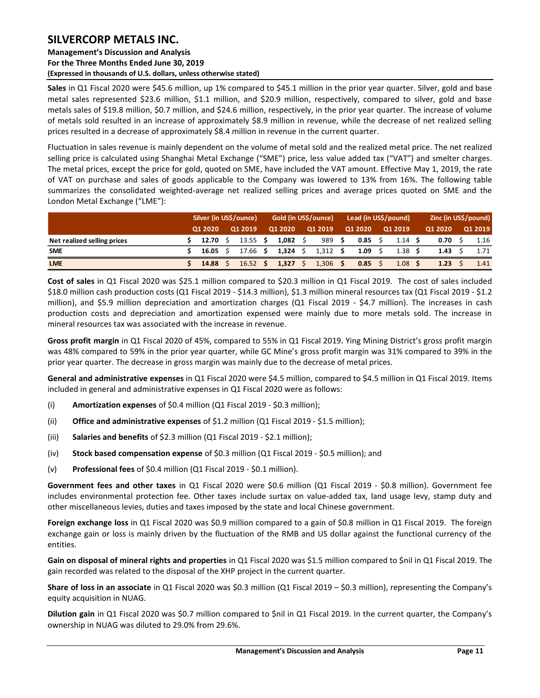### **Management's Discussion and Analysis For the Three Months Ended June 30, 2019 (Expressed in thousands of U.S. dollars, unless otherwise stated)**

**Sales** in Q1 Fiscal 2020 were \$45.6 million, up 1% compared to \$45.1 million in the prior year quarter. Silver, gold and base metal sales represented \$23.6 million, \$1.1 million, and \$20.9 million, respectively, compared to silver, gold and base metals sales of \$19.8 million, \$0.7 million, and \$24.6 million, respectively, in the prior year quarter. The increase of volume of metals sold resulted in an increase of approximately \$8.9 million in revenue, while the decrease of net realized selling prices resulted in a decrease of approximately \$8.4 million in revenue in the current quarter.

Fluctuation in sales revenue is mainly dependent on the volume of metal sold and the realized metal price. The net realized selling price is calculated using Shanghai Metal Exchange ("SME") price, less value added tax ("VAT") and smelter charges. The metal prices, except the price for gold, quoted on SME, have included the VAT amount. Effective May 1, 2019, the rate of VAT on purchase and sales of goods applicable to the Company was lowered to 13% from 16%. The following table summarizes the consolidated weighted-average net realized selling prices and average prices quoted on SME and the London Metal Exchange ("LME"):

|                             | Silver (in US\$/ounce) |  |                 | Gold (in US\$/ounce) |                     |  |            |      | Lead (in US\$/pound) |  | Zinc (in US\$/pound) |  |              |  |         |
|-----------------------------|------------------------|--|-----------------|----------------------|---------------------|--|------------|------|----------------------|--|----------------------|--|--------------|--|---------|
|                             | 01 2020                |  | Q1 2019         |                      | Q1 2020             |  | Q1 2019    |      | Q1 2020              |  | Q1 2019              |  | Q1 2020      |  | Q1 2019 |
| Net realized selling prices | 12.70                  |  | $13.55$ \$      |                      | $1,082 \quad \zeta$ |  | 989        | . S. | $0.85 \quad$ \$      |  | $1.14 \;$ \$         |  | $0.70 \,$ \$ |  | 1.16    |
| <b>SME</b>                  | $16.05 \quad \text{S}$ |  | 17.66 \$        |                      | 1,324 \$            |  | $1,312$ \$ |      | 1.09 \$              |  | $1.38 \;$ \$         |  | 1.43         |  | 1.71    |
| <b>LME</b>                  | $14.88 \quad$          |  | $16.52 \quad S$ |                      | $1,327 \quad$ \$    |  | $1,306$ \$ |      | $0.85 \quad$ \$      |  | 1.08                 |  | 1.23         |  | 1.41    |

**Cost of sales** in Q1 Fiscal 2020 was \$25.1 million compared to \$20.3 million in Q1 Fiscal 2019. The cost of sales included \$18.0 million cash production costs (Q1 Fiscal 2019 - \$14.3 million), \$1.3 million mineral resources tax (Q1 Fiscal 2019 - \$1.2 million), and \$5.9 million depreciation and amortization charges (Q1 Fiscal 2019 - \$4.7 million). The increases in cash production costs and depreciation and amortization expensed were mainly due to more metals sold. The increase in mineral resources tax was associated with the increase in revenue.

**Gross profit margin** in Q1 Fiscal 2020 of 45%, compared to 55% in Q1 Fiscal 2019. Ying Mining District's gross profit margin was 48% compared to 59% in the prior year quarter, while GC Mine's gross profit margin was 31% compared to 39% in the prior year quarter. The decrease in gross margin was mainly due to the decrease of metal prices.

**General and administrative expenses** in Q1 Fiscal 2020 were \$4.5 million, compared to \$4.5 million in Q1 Fiscal 2019. Items included in general and administrative expenses in Q1 Fiscal 2020 were as follows:

- (i) **Amortization expenses** of \$0.4 million (Q1 Fiscal 2019 \$0.3 million);
- (ii) **Office and administrative expenses** of \$1.2 million (Q1 Fiscal 2019 \$1.5 million);
- (iii) **Salaries and benefits** of \$2.3 million (Q1 Fiscal 2019 \$2.1 million);
- (iv) **Stock based compensation expense** of \$0.3 million (Q1 Fiscal 2019 \$0.5 million); and
- (v) **Professional fees** of \$0.4 million (Q1 Fiscal 2019 \$0.1 million).

**Government fees and other taxes** in Q1 Fiscal 2020 were \$0.6 million (Q1 Fiscal 2019 - \$0.8 million). Government fee includes environmental protection fee. Other taxes include surtax on value-added tax, land usage levy, stamp duty and other miscellaneous levies, duties and taxes imposed by the state and local Chinese government.

**Foreign exchange loss** in Q1 Fiscal 2020 was \$0.9 million compared to a gain of \$0.8 million in Q1 Fiscal 2019. The foreign exchange gain or loss is mainly driven by the fluctuation of the RMB and US dollar against the functional currency of the entities.

**Gain on disposal of mineral rights and properties** in Q1 Fiscal 2020 was \$1.5 million compared to \$nil in Q1 Fiscal 2019. The gain recorded was related to the disposal of the XHP project in the current quarter.

**Share of loss in an associate** in Q1 Fiscal 2020 was \$0.3 million (Q1 Fiscal 2019 – \$0.3 million), representing the Company's equity acquisition in NUAG.

**Dilution gain** in Q1 Fiscal 2020 was \$0.7 million compared to \$nil in Q1 Fiscal 2019. In the current quarter, the Company's ownership in NUAG was diluted to 29.0% from 29.6%.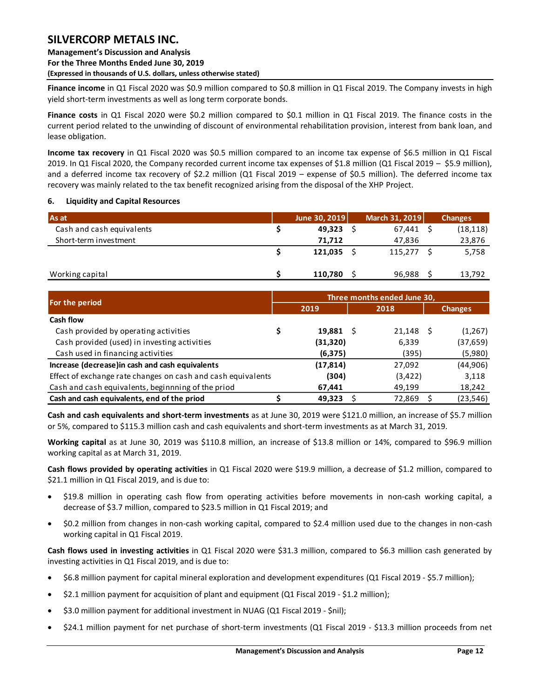**Finance income** in Q1 Fiscal 2020 was \$0.9 million compared to \$0.8 million in Q1 Fiscal 2019. The Company invests in high yield short-term investments as well as long term corporate bonds.

**Finance costs** in Q1 Fiscal 2020 were \$0.2 million compared to \$0.1 million in Q1 Fiscal 2019. The finance costs in the current period related to the unwinding of discount of environmental rehabilitation provision, interest from bank loan, and lease obligation.

**Income tax recovery** in Q1 Fiscal 2020 was \$0.5 million compared to an income tax expense of \$6.5 million in Q1 Fiscal 2019. In Q1 Fiscal 2020, the Company recorded current income tax expenses of \$1.8 million (Q1 Fiscal 2019 – \$5.9 million), and a deferred income tax recovery of \$2.2 million (Q1 Fiscal 2019 – expense of \$0.5 million). The deferred income tax recovery was mainly related to the tax benefit recognized arising from the disposal of the XHP Project.

### <span id="page-12-0"></span>**6. Liquidity and Capital Resources**

| As at                     | June 30, 2019 | March 31, 2019 | <b>Changes</b> |
|---------------------------|---------------|----------------|----------------|
| Cash and cash equivalents | 49,323        | 67.441         | (18, 118)      |
| Short-term investment     | 71.712        | 47.836         | 23,876         |
|                           | 121,035       | 115,277        | 5,758          |
| Working capital           | 110.780       | 96,988         | 13,792         |

|                                                              | Three months ended June 30, |           |    |          |  |                |  |  |  |  |
|--------------------------------------------------------------|-----------------------------|-----------|----|----------|--|----------------|--|--|--|--|
| For the period                                               |                             | 2019      |    | 2018     |  | <b>Changes</b> |  |  |  |  |
| Cash flow                                                    |                             |           |    |          |  |                |  |  |  |  |
| Cash provided by operating activities                        |                             | 19,881    | -S | 21,148   |  | (1, 267)       |  |  |  |  |
| Cash provided (used) in investing activities                 |                             | (31, 320) |    | 6,339    |  | (37, 659)      |  |  |  |  |
| Cash used in financing activities                            |                             | (6, 375)  |    | (395)    |  | (5,980)        |  |  |  |  |
| Increase (decrease) in cash and cash equivalents             |                             | (17, 814) |    | 27,092   |  | (44,906)       |  |  |  |  |
| Effect of exchange rate changes on cash and cash equivalents |                             | (304)     |    | (3, 422) |  | 3,118          |  |  |  |  |
| Cash and cash equivalents, beginnning of the priod           |                             | 67,441    |    | 49,199   |  | 18,242         |  |  |  |  |
| Cash and cash equivalents, end of the priod                  |                             | 49,323    |    | 72,869   |  | (23, 546)      |  |  |  |  |

**Cash and cash equivalents and short-term investments** as at June 30, 2019 were \$121.0 million, an increase of \$5.7 million or 5%, compared to \$115.3 million cash and cash equivalents and short-term investments as at March 31, 2019.

**Working capital** as at June 30, 2019 was \$110.8 million, an increase of \$13.8 million or 14%, compared to \$96.9 million working capital as at March 31, 2019.

**Cash flows provided by operating activities** in Q1 Fiscal 2020 were \$19.9 million, a decrease of \$1.2 million, compared to \$21.1 million in Q1 Fiscal 2019, and is due to:

- \$19.8 million in operating cash flow from operating activities before movements in non-cash working capital, a decrease of \$3.7 million, compared to \$23.5 million in Q1 Fiscal 2019; and
- \$0.2 million from changes in non-cash working capital, compared to \$2.4 million used due to the changes in non-cash working capital in Q1 Fiscal 2019.

**Cash flows used in investing activities** in Q1 Fiscal 2020 were \$31.3 million, compared to \$6.3 million cash generated by investing activities in Q1 Fiscal 2019, and is due to:

- \$6.8 million payment for capital mineral exploration and development expenditures (Q1 Fiscal 2019 \$5.7 million);
- \$2.1 million payment for acquisition of plant and equipment (Q1 Fiscal 2019 \$1.2 million);
- \$3.0 million payment for additional investment in NUAG (Q1 Fiscal 2019 \$nil);
- \$24.1 million payment for net purchase of short-term investments (Q1 Fiscal 2019 \$13.3 million proceeds from net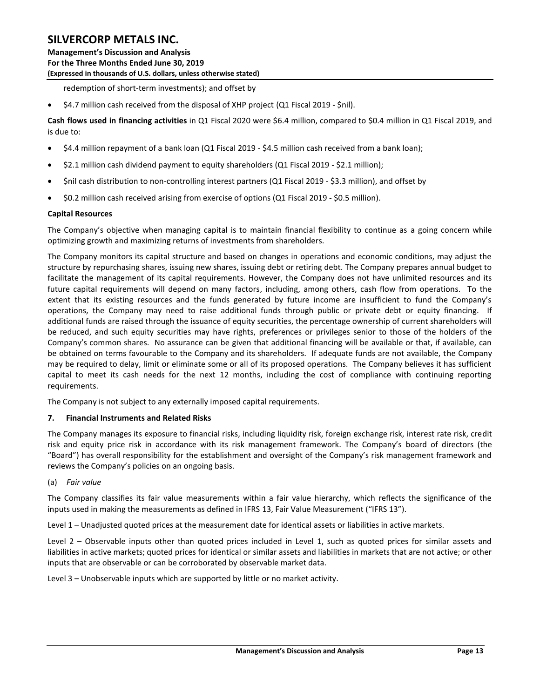redemption of short-term investments); and offset by

\$4.7 million cash received from the disposal of XHP project (Q1 Fiscal 2019 - \$nil).

**Cash flows used in financing activities** in Q1 Fiscal 2020 were \$6.4 million, compared to \$0.4 million in Q1 Fiscal 2019, and is due to:

- \$4.4 million repayment of a bank loan (Q1 Fiscal 2019 \$4.5 million cash received from a bank loan);
- \$2.1 million cash dividend payment to equity shareholders (Q1 Fiscal 2019 \$2.1 million);
- \$nil cash distribution to non-controlling interest partners (Q1 Fiscal 2019 \$3.3 million), and offset by
- \$0.2 million cash received arising from exercise of options (Q1 Fiscal 2019 \$0.5 million).

### **Capital Resources**

The Company's objective when managing capital is to maintain financial flexibility to continue as a going concern while optimizing growth and maximizing returns of investments from shareholders.

The Company monitors its capital structure and based on changes in operations and economic conditions, may adjust the structure by repurchasing shares, issuing new shares, issuing debt or retiring debt. The Company prepares annual budget to facilitate the management of its capital requirements. However, the Company does not have unlimited resources and its future capital requirements will depend on many factors, including, among others, cash flow from operations. To the extent that its existing resources and the funds generated by future income are insufficient to fund the Company's operations, the Company may need to raise additional funds through public or private debt or equity financing. If additional funds are raised through the issuance of equity securities, the percentage ownership of current shareholders will be reduced, and such equity securities may have rights, preferences or privileges senior to those of the holders of the Company's common shares. No assurance can be given that additional financing will be available or that, if available, can be obtained on terms favourable to the Company and its shareholders. If adequate funds are not available, the Company may be required to delay, limit or eliminate some or all of its proposed operations. The Company believes it has sufficient capital to meet its cash needs for the next 12 months, including the cost of compliance with continuing reporting requirements.

The Company is not subject to any externally imposed capital requirements.

#### <span id="page-13-0"></span>**7. Financial Instruments and Related Risks**

The Company manages its exposure to financial risks, including liquidity risk, foreign exchange risk, interest rate risk, credit risk and equity price risk in accordance with its risk management framework. The Company's board of directors (the "Board") has overall responsibility for the establishment and oversight of the Company's risk management framework and reviews the Company's policies on an ongoing basis.

#### (a) *Fair value*

The Company classifies its fair value measurements within a fair value hierarchy, which reflects the significance of the inputs used in making the measurements as defined in IFRS 13, Fair Value Measurement ("IFRS 13").

Level 1 – Unadjusted quoted prices at the measurement date for identical assets or liabilities in active markets.

Level 2 – Observable inputs other than quoted prices included in Level 1, such as quoted prices for similar assets and liabilities in active markets; quoted prices for identical or similar assets and liabilities in markets that are not active; or other inputs that are observable or can be corroborated by observable market data.

Level 3 – Unobservable inputs which are supported by little or no market activity.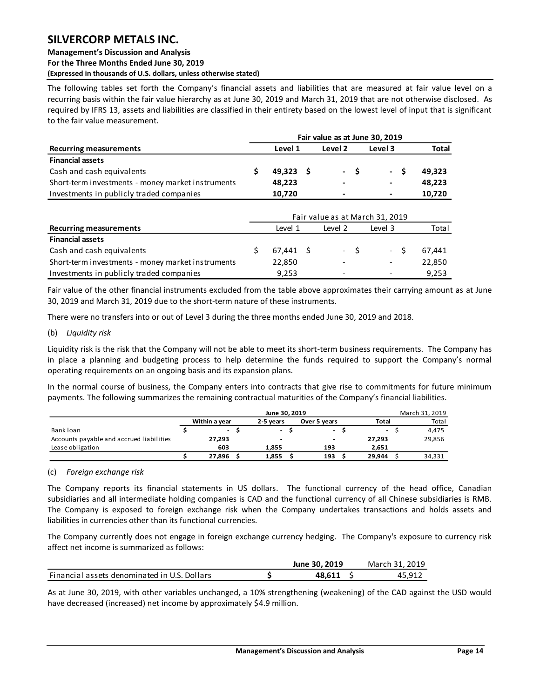#### **Management's Discussion and Analysis For the Three Months Ended June 30, 2019 (Expressed in thousands of U.S. dollars, unless otherwise stated)**

The following tables set forth the Company's financial assets and liabilities that are measured at fair value level on a recurring basis within the fair value hierarchy as at June 30, 2019 and March 31, 2019 that are not otherwise disclosed. As required by IFRS 13, assets and liabilities are classified in their entirety based on the lowest level of input that is significant to the fair value measurement.

|                                                   |                   |         |     | Fair value as at June 30, 2019  |              |
|---------------------------------------------------|-------------------|---------|-----|---------------------------------|--------------|
| <b>Recurring measurements</b>                     | Level 1           | Level 2 |     | Level 3                         | <b>Total</b> |
| <b>Financial assets</b>                           |                   |         |     |                                 |              |
| Cash and cash equivalents                         | \$<br>$49,323$ \$ | $\sim$  | -\$ | -\$<br>$\sim$                   | 49,323       |
| Short-term investments - money market instruments | 48,223            |         |     | $\qquad \qquad \blacksquare$    | 48,223       |
| Investments in publicly traded companies          | 10,720            |         |     |                                 | 10,720       |
|                                                   |                   |         |     | Fair value as at March 31, 2019 |              |
| <b>Recurring measurements</b>                     | Level 1           | Level 2 |     | Level 3                         | Total        |
| <b>Financial assets</b>                           |                   |         |     |                                 |              |
| Cash and cash equivalents                         | \$<br>$67,441$ \$ | - \$    |     | -\$<br>$\sim$                   | 67,441       |
| Short-term investments - money market instruments | 22,850            |         |     | $\overline{\phantom{a}}$        | 22,850       |
| Investments in publicly traded companies          | 9,253             |         |     |                                 | 9.253        |

Fair value of the other financial instruments excluded from the table above approximates their carrying amount as at June 30, 2019 and March 31, 2019 due to the short-term nature of these instruments.

There were no transfers into or out of Level 3 during the three months ended June 30, 2019 and 2018.

#### (b) *Liquidity risk*

Liquidity risk is the risk that the Company will not be able to meet its short-term business requirements. The Company has in place a planning and budgeting process to help determine the funds required to support the Company's normal operating requirements on an ongoing basis and its expansion plans.

In the normal course of business, the Company enters into contracts that give rise to commitments for future minimum payments. The following summarizes the remaining contractual maturities of the Company's financial liabilities.

|                                          |                                            | March 31, 2019 |                          |  |                |  |        |  |        |
|------------------------------------------|--------------------------------------------|----------------|--------------------------|--|----------------|--|--------|--|--------|
|                                          | Within a year<br>2-5 vears<br>Over 5 years |                |                          |  |                |  |        |  | Total  |
| Bank loan                                | $\sim$                                     |                | $\overline{\phantom{0}}$ |  | $\overline{a}$ |  | $\sim$ |  | 4,475  |
| Accounts payable and accrued liabilities | 27,293                                     |                | -                        |  | -              |  | 27.293 |  | 29,856 |
| Lease obligation                         | 603                                        |                | 1.855                    |  | 193            |  | 2.651  |  |        |
|                                          | 27.896                                     |                | 1.855                    |  | 193            |  | 29.944 |  | 34,331 |

(c) *Foreign exchange risk* 

The Company reports its financial statements in US dollars. The functional currency of the head office, Canadian subsidiaries and all intermediate holding companies is CAD and the functional currency of all Chinese subsidiaries is RMB. The Company is exposed to foreign exchange risk when the Company undertakes transactions and holds assets and liabilities in currencies other than its functional currencies.

The Company currently does not engage in foreign exchange currency hedging. The Company's exposure to currency risk affect net income is summarized as follows:

|                                              | June 30, 2019 | March 31, 2019 |
|----------------------------------------------|---------------|----------------|
| Financial assets denominated in U.S. Dollars | 48.611        | 45.912         |

As at June 30, 2019, with other variables unchanged, a 10% strengthening (weakening) of the CAD against the USD would have decreased (increased) net income by approximately \$4.9 million.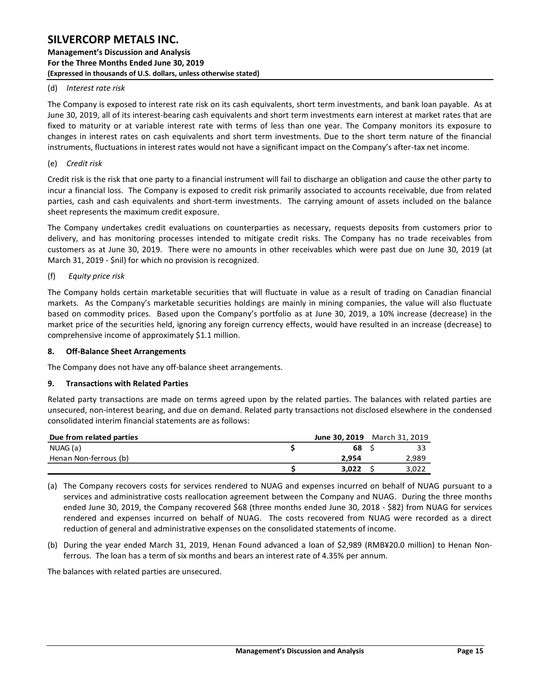#### (d) *Interest rate risk*

The Company is exposed to interest rate risk on its cash equivalents, short term investments, and bank loan payable. As at June 30, 2019, all of its interest-bearing cash equivalents and short term investments earn interest at market rates that are fixed to maturity or at variable interest rate with terms of less than one year. The Company monitors its exposure to changes in interest rates on cash equivalents and short term investments. Due to the short term nature of the financial instruments, fluctuations in interest rates would not have a significant impact on the Company's after-tax net income.

#### (e) *Credit risk*

Credit risk is the risk that one party to a financial instrument will fail to discharge an obligation and cause the other party to incur a financial loss. The Company is exposed to credit risk primarily associated to accounts receivable, due from related parties, cash and cash equivalents and short-term investments. The carrying amount of assets included on the balance sheet represents the maximum credit exposure.

The Company undertakes credit evaluations on counterparties as necessary, requests deposits from customers prior to delivery, and has monitoring processes intended to mitigate credit risks. The Company has no trade receivables from customers as at June 30, 2019. There were no amounts in other receivables which were past due on June 30, 2019 (at March 31, 2019 - \$nil) for which no provision is recognized.

#### (f) *Equity price risk*

The Company holds certain marketable securities that will fluctuate in value as a result of trading on Canadian financial markets. As the Company's marketable securities holdings are mainly in mining companies, the value will also fluctuate based on commodity prices. Based upon the Company's portfolio as at June 30, 2019, a 10% increase (decrease) in the market price of the securities held, ignoring any foreign currency effects, would have resulted in an increase (decrease) to comprehensive income of approximately \$1.1 million.

#### <span id="page-15-0"></span>**8. Off-Balance Sheet Arrangements**

The Company does not have any off-balance sheet arrangements.

#### <span id="page-15-1"></span>**9. Transactions with Related Parties**

Related party transactions are made on terms agreed upon by the related parties. The balances with related parties are unsecured, non-interest bearing, and due on demand. Related party transactions not disclosed elsewhere in the condensed consolidated interim financial statements are as follows:

| Due from related parties | <b>June 30, 2019</b> March 31, 2019 |       |
|--------------------------|-------------------------------------|-------|
| NUAG (a)                 | 68                                  |       |
| Henan Non-ferrous (b)    | 2.954                               | 2,989 |
|                          | 3.022                               | 3.022 |

- (a) The Company recovers costs for services rendered to NUAG and expenses incurred on behalf of NUAG pursuant to a services and administrative costs reallocation agreement between the Company and NUAG. During the three months ended June 30, 2019, the Company recovered \$68 (three months ended June 30, 2018 - \$82) from NUAG for services rendered and expenses incurred on behalf of NUAG. The costs recovered from NUAG were recorded as a direct reduction of general and administrative expenses on the consolidated statements of income.
- (b) During the year ended March 31, 2019, Henan Found advanced a loan of \$2,989 (RMB¥20.0 million) to Henan Nonferrous. The loan has a term of six months and bears an interest rate of 4.35% per annum.

The balances with related parties are unsecured.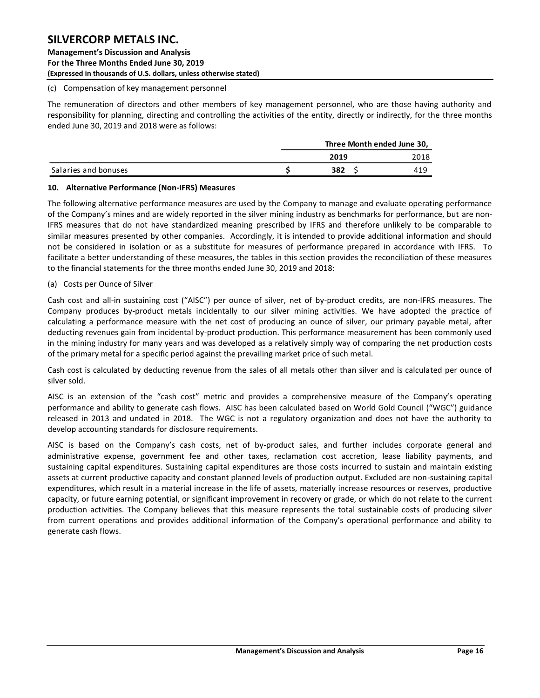#### (c) Compensation of key management personnel

The remuneration of directors and other members of key management personnel, who are those having authority and responsibility for planning, directing and controlling the activities of the entity, directly or indirectly, for the three months ended June 30, 2019 and 2018 were as follows:

|                      | Three Month ended June 30, |      |  |  |  |
|----------------------|----------------------------|------|--|--|--|
|                      | 2019                       | 2018 |  |  |  |
| Salaries and bonuses | 382                        | 419  |  |  |  |

#### <span id="page-16-0"></span>**10. Alternative Performance (Non-IFRS) Measures**

The following alternative performance measures are used by the Company to manage and evaluate operating performance of the Company's mines and are widely reported in the silver mining industry as benchmarks for performance, but are non-IFRS measures that do not have standardized meaning prescribed by IFRS and therefore unlikely to be comparable to similar measures presented by other companies. Accordingly, it is intended to provide additional information and should not be considered in isolation or as a substitute for measures of performance prepared in accordance with IFRS. To facilitate a better understanding of these measures, the tables in this section provides the reconciliation of these measures to the financial statements for the three months ended June 30, 2019 and 2018:

#### (a) Costs per Ounce of Silver

Cash cost and all-in sustaining cost ("AISC") per ounce of silver, net of by-product credits, are non-IFRS measures. The Company produces by-product metals incidentally to our silver mining activities. We have adopted the practice of calculating a performance measure with the net cost of producing an ounce of silver, our primary payable metal, after deducting revenues gain from incidental by-product production. This performance measurement has been commonly used in the mining industry for many years and was developed as a relatively simply way of comparing the net production costs of the primary metal for a specific period against the prevailing market price of such metal.

Cash cost is calculated by deducting revenue from the sales of all metals other than silver and is calculated per ounce of silver sold.

AISC is an extension of the "cash cost" metric and provides a comprehensive measure of the Company's operating performance and ability to generate cash flows. AISC has been calculated based on World Gold Council ("WGC") guidance released in 2013 and undated in 2018. The WGC is not a regulatory organization and does not have the authority to develop accounting standards for disclosure requirements.

AISC is based on the Company's cash costs, net of by-product sales, and further includes corporate general and administrative expense, government fee and other taxes, reclamation cost accretion, lease liability payments, and sustaining capital expenditures. Sustaining capital expenditures are those costs incurred to sustain and maintain existing assets at current productive capacity and constant planned levels of production output. Excluded are non-sustaining capital expenditures, which result in a material increase in the life of assets, materially increase resources or reserves, productive capacity, or future earning potential, or significant improvement in recovery or grade, or which do not relate to the current production activities. The Company believes that this measure represents the total sustainable costs of producing silver from current operations and provides additional information of the Company's operational performance and ability to generate cash flows.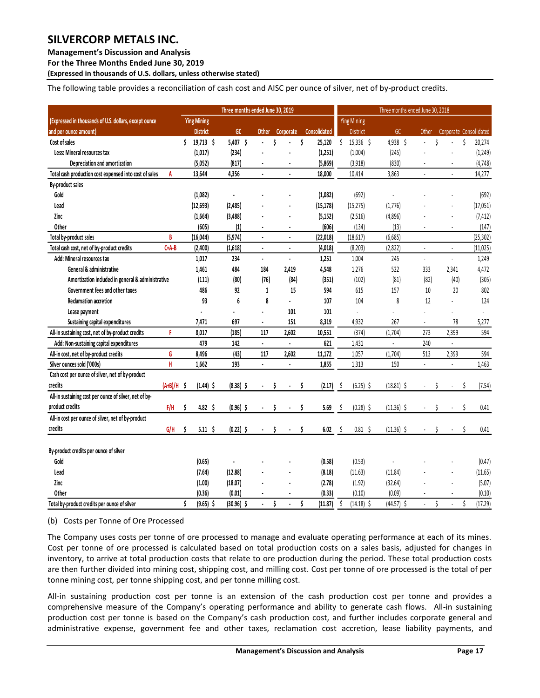**Management's Discussion and Analysis** 

**For the Three Months Ended June 30, 2019**

**(Expressed in thousands of U.S. dollars, unless otherwise stated)** 

The following table provides a reconciliation of cash cost and AISC per ounce of silver, net of by-product credits.

|                                                        |             |    |                    | Three months ended June 30, 2019 |                |    |                      |    |              |                      | Three months ended June 30, 2018 |                      |    |                        |    |           |
|--------------------------------------------------------|-------------|----|--------------------|----------------------------------|----------------|----|----------------------|----|--------------|----------------------|----------------------------------|----------------------|----|------------------------|----|-----------|
| (Expressed in thousands of U.S. dollars, except ounce  |             |    | <b>Ying Mining</b> |                                  |                |    |                      |    |              | <b>Ying Mining</b>   |                                  |                      |    |                        |    |           |
| and per ounce amount)                                  |             |    | <b>District</b>    | GC                               | <b>Other</b>   |    | Corporate            |    | Consolidated | District             | GC                               | Other                |    | Corporate Consolidated |    |           |
| Cost of sales                                          |             | Ś. | 19,713 \$          | 5,407 \$                         | ä,             | \$ |                      | \$ | 25,120       | Ś<br>$15,336$ \$     | 4,938 \$                         | ä,                   | \$ |                        | \$ | 20,274    |
| Less: Mineral resources tax                            |             |    | (1,017)            | (234)                            |                |    |                      |    | (1,251)      | (1,004)              | (245)                            |                      |    |                        |    | (1, 249)  |
| Depreciation and amortization                          |             |    | (5,052)            | (817)                            | ٠              |    | $\blacksquare$       |    | (5,869)      | (3,918)              | (830)                            | $\sim$               |    | ٠                      |    | (4, 748)  |
| Total cash production cost expensed into cost of sales | A           |    | 13,644             | 4,356                            | $\blacksquare$ |    | $\blacksquare$       |    | 18,000       | 10,414               | 3,863                            | $\blacksquare$       |    | ä,                     |    | 14,277    |
| By-product sales                                       |             |    |                    |                                  |                |    |                      |    |              |                      |                                  |                      |    |                        |    |           |
| Gold                                                   |             |    | (1,082)            | ÷,                               |                |    |                      |    | (1,082)      | (692)                |                                  |                      |    |                        |    | (692)     |
| Lead                                                   |             |    | (12, 693)          | (2,485)                          |                |    |                      |    | (15, 178)    | (15, 275)            | (1,776)                          |                      |    |                        |    | (17,051)  |
| Zinc                                                   |             |    | (1,664)            | (3, 488)                         |                |    |                      |    | (5, 152)     | (2,516)              | (4,896)                          |                      |    |                        |    | (7, 412)  |
| Other                                                  |             |    | (605)              | (1)                              |                |    |                      |    | (606)        | (134)                | (13)                             |                      |    |                        |    | (147)     |
| Total by-product sales                                 | B           |    | (16, 044)          | (5, 974)                         | $\overline{a}$ |    |                      |    | (22, 018)    | (18, 617)            | (6,685)                          |                      |    |                        |    | (25, 302) |
| Total cash cost, net of by-product credits             | $C = A - B$ |    | (2,400)            | (1,618)                          | ä,             |    | ÷.                   |    | (4,018)      | (8, 203)             | (2,822)                          | ä,                   |    | ÷,                     |    | (11, 025) |
| Add: Mineral resources tax                             |             |    | 1,017              | 234                              | $\overline{a}$ |    | $\ddot{\phantom{0}}$ |    | 1,251        | 1,004                | 245                              | $\ddot{\phantom{a}}$ |    | $\overline{a}$         |    | 1,249     |
| General & administrative                               |             |    | 1,461              | 484                              | 184            |    | 2,419                |    | 4,548        | 1,276                | 522                              | 333                  |    | 2,341                  |    | 4,472     |
| Amortization included in general & administrative      |             |    | (111)              | (80)                             | (76)           |    | (84)                 |    | (351)        | (102)                | (81)                             | (82)                 |    | (40)                   |    | (305)     |
| Government fees and other taxes                        |             |    | 486                | 92                               | $\mathbf{1}$   |    | 15                   |    | 594          | 615                  | 157                              | 10                   |    | 20                     |    | 802       |
| <b>Reclamation accretion</b>                           |             |    | 93                 | 6                                | 8              |    | ÷.                   |    | 107          | 104                  | 8                                | 12                   |    |                        |    | 124       |
| Lease payment                                          |             |    |                    | $\overline{a}$                   | ä,             |    | 101                  |    | 101          | ÷,                   | $\overline{a}$                   |                      |    |                        |    | ä,        |
| Sustaining capital expenditures                        |             |    | 7,471              | 697                              | ä,             |    | 151                  |    | 8,319        | 4,932                | 267                              | $\overline{a}$       |    | 78                     |    | 5,277     |
| All-in sustaining cost, net of by-product credits      | F           |    | 8,017              | (185)                            | 117            |    | 2,602                |    | 10,551       | (374)                | (1,704)                          | 273                  |    | 2,399                  |    | 594       |
| Add: Non-sustaining capital expenditures               |             |    | 479                | 142                              | ÷.             |    | $\blacksquare$       |    | 621          | 1,431                | ä,                               | 240                  |    | ä,                     |    |           |
| All-in cost, net of by-product credits                 | G           |    | 8,496              | (43)                             | 117            |    | 2,602                |    | 11,172       | 1,057                | (1,704)                          | 513                  |    | 2,399                  |    | 594       |
| Silver ounces sold ('000s)                             | H           |    | 1,662              | 193                              | ä,             |    | $\blacksquare$       |    | 1,855        | 1,313                | 150                              | $\mathbf{r}$         |    | ä,                     |    | 1,463     |
| Cash cost per ounce of silver, net of by-product       |             |    |                    |                                  |                |    |                      |    |              |                      |                                  |                      |    |                        |    |           |
| credits                                                | $(A+B)/H$   | Ŝ  | $(1.44)$ \$        | $(8.38)$ \$                      |                | Ś  |                      | Ŝ  | (2.17)       | $(6.25)$ \$<br>-\$   | $(18.81)$ \$                     |                      |    |                        | Ś  | (7.54)    |
| All-in sustaining cost per ounce of silver, net of by- |             |    |                    |                                  |                |    |                      |    |              |                      |                                  |                      |    |                        |    |           |
| product credits                                        | F/H         | \$ | 4.82 \$            | $(0.96)$ \$                      |                | \$ |                      | Ś  | 5.69         | \$<br>$(0.28)$ \$    | $(11.36)$ \$                     |                      | Ś  |                        | Ś  | 0.41      |
| All-in cost per ounce of silver, net of by-product     |             |    |                    |                                  |                |    |                      |    |              |                      |                                  |                      |    |                        |    |           |
| credits                                                | G/H         | \$ | $5.11 \quad $$     | $(0.22)$ \$                      |                | Ś  |                      | Ś  | 6.02         | - \$<br>$0.81 \;$ \$ | $(11.36)$ \$                     |                      | Ś  |                        |    | 0.41      |
| By-product credits per ounce of silver                 |             |    |                    |                                  |                |    |                      |    |              |                      |                                  |                      |    |                        |    |           |
| Gold                                                   |             |    | (0.65)             |                                  |                |    |                      |    | (0.58)       | (0.53)               |                                  |                      |    |                        |    | (0.47)    |
| Lead                                                   |             |    | (7.64)             | (12.88)                          |                |    |                      |    | (8.18)       | (11.63)              | (11.84)                          |                      |    |                        |    | (11.65)   |
| Zinc                                                   |             |    | (1.00)             | (18.07)                          |                |    |                      |    | (2.78)       | (1.92)               | (32.64)                          |                      |    |                        |    | (5.07)    |
| Other                                                  |             |    | (0.36)             | (0.01)                           |                |    |                      |    | (0.33)       | (0.10)               | (0.09)                           |                      |    |                        |    | (0.10)    |
| Total by-product credits per ounce of silver           |             | Ś  | $(9.65)$ \$        | $(30.96)$ \$                     |                | \$ |                      | Ś  | (11.87)      | Ś<br>$(14.18)$ \$    | $(44.57)$ \$                     |                      | Ś  |                        | Ś  | (17.29)   |

(b) Costs per Tonne of Ore Processed

The Company uses costs per tonne of ore processed to manage and evaluate operating performance at each of its mines. Cost per tonne of ore processed is calculated based on total production costs on a sales basis, adjusted for changes in inventory, to arrive at total production costs that relate to ore production during the period. These total production costs are then further divided into mining cost, shipping cost, and milling cost. Cost per tonne of ore processed is the total of per tonne mining cost, per tonne shipping cost, and per tonne milling cost.

All-in sustaining production cost per tonne is an extension of the cash production cost per tonne and provides a comprehensive measure of the Company's operating performance and ability to generate cash flows. All-in sustaining production cost per tonne is based on the Company's cash production cost, and further includes corporate general and administrative expense, government fee and other taxes, reclamation cost accretion, lease liability payments, and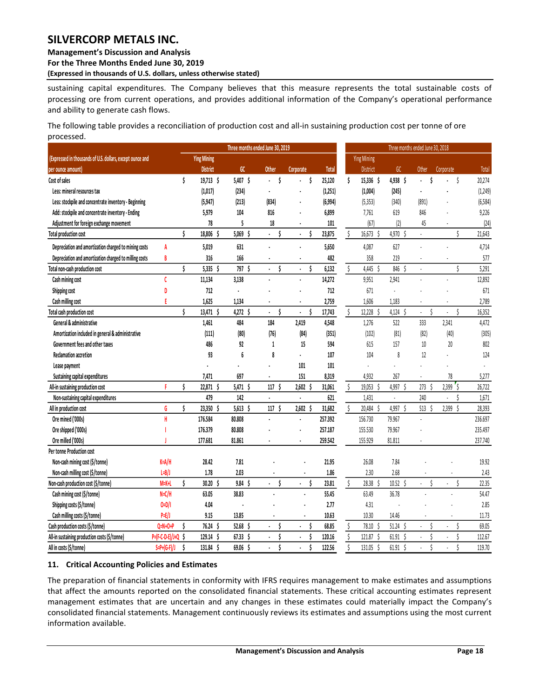## **Management's Discussion and Analysis**

**For the Three Months Ended June 30, 2019**

**(Expressed in thousands of U.S. dollars, unless otherwise stated)** 

sustaining capital expenditures. The Company believes that this measure represents the total sustainable costs of processing ore from current operations, and provides additional information of the Company's operational performance and ability to generate cash flows.

The following table provides a reconciliation of production cost and all-in sustaining production cost per tonne of ore processed.

|                                                           | Three months ended June 30, 2019 |    |                    |              |                           |                               |              |                         |                    |                    | Three months ended June 30, 2018 |                               |          |
|-----------------------------------------------------------|----------------------------------|----|--------------------|--------------|---------------------------|-------------------------------|--------------|-------------------------|--------------------|--------------------|----------------------------------|-------------------------------|----------|
| (Expressed in thousands of U.S. dollars, except ounce and |                                  |    | <b>Ying Mining</b> |              |                           |                               |              |                         | <b>Ying Mining</b> |                    |                                  |                               |          |
| per ounce amount)                                         |                                  |    | <b>District</b>    | GC           | <b>Other</b>              | Corporate                     | <b>Total</b> |                         | District           | GC                 | <b>Other</b>                     | Corporate                     | Total    |
| Cost of sales                                             |                                  | Ś  | $19,713$ \$        | $5,407$ \$   | Ś<br>ä,                   | \$                            | 25,120       | Ś                       | 15,336 \$          | 4,938 \$           | Ś                                | \$                            | 20,274   |
| Less: mineral resources tax                               |                                  |    | (1,017)            | (234)        |                           |                               | (1,251)      |                         | (1,004)            | (245)              |                                  |                               | (1, 249) |
| Less: stockpile and concentrate inventory - Beginning     |                                  |    | (5, 947)           | (213)        | (834)                     |                               | (6,994)      |                         | (5, 353)           | (340)              | (891)                            |                               | (6, 584) |
| Add: stockpile and concentrate inventory - Ending         |                                  |    | 5,979              | 104          | 816                       |                               | 6,899        |                         | 7,761              | 619                | 846                              |                               | 9,226    |
| Adjustment for foreign exchange movement                  |                                  |    | 78                 | 5            | 18                        |                               | 101          |                         | (67)               | (2)                | 45                               |                               | (24)     |
| Total production cost                                     |                                  | \$ | 18,806             | 5,069<br>Ŝ   | Ś<br>$\ddot{\phantom{a}}$ | Ś<br>$\overline{\phantom{a}}$ | 23,875       | Ŝ                       | 16,673<br>Ŝ        | 4,970<br>Ŝ         | L.                               | \$                            | 21,643   |
| Depreciation and amortization charged to mining costs     | A                                |    | 5,019              | 631          |                           |                               | 5,650        |                         | 4,087              | 627                |                                  |                               | 4,714    |
| Depreciation and amortization charged to milling costs    | B                                |    | 316                | 166          |                           |                               | 482          |                         | 358                | 219                |                                  |                               | 577      |
| Total non-cash production cost                            |                                  | Ś  | $5,335$ \$         | 797<br>Ŝ     | Ś                         | Ś                             | 6,132        | \$                      | 4,445<br>Ŝ.        | 846 \$             |                                  | Ś                             | 5,291    |
| Cash mining cost                                          | Ċ                                |    | 11,134             | 3,138        |                           |                               | 14,272       |                         | 9,951              | 2,941              |                                  |                               | 12,892   |
| Shipping cost                                             | D                                |    | 712                | ä,           |                           |                               | 712          |                         | 671                | $\overline{a}$     |                                  |                               | 671      |
| Cash milling cost                                         | F                                |    | 1,625              | 1,134        |                           |                               | 2,759        |                         | 1,606              | 1,183              |                                  | ÷,                            | 2,789    |
| Total cash production cost                                |                                  | Ś  | 13,471 \$          | $4,272$ \$   | ¢<br>$\bullet$            | Ś<br>$\blacksquare$           | 17,743       | Ś                       | 12,228 \$          | $4,124$ \$         | Ś<br>$\mathbf{r}$                | Ś<br>$\overline{\phantom{a}}$ | 16,352   |
| General & administrative                                  |                                  |    | 1,461              | 484          | 184                       | 2,419                         | 4,548        |                         | 1,276              | 522                | 333                              | 2,341                         | 4,472    |
| Amortization included in general & administrative         |                                  |    | (111)              | (80)         | (76)                      | (84)                          | (351)        |                         | (102)              | (81)               | (82)                             | (40)                          | (305)    |
| Government fees and other taxes                           |                                  |    | 486                | 92           | 1                         | 15                            | 594          |                         | 615                | 157                | 10                               | 20                            | 802      |
| <b>Reclamation accretion</b>                              |                                  |    | 93                 | 6            | 8                         |                               | 107          |                         | 104                | 8                  | 12                               |                               | 124      |
| Lease payment                                             |                                  |    |                    |              |                           | 101                           | 101          |                         |                    |                    |                                  |                               |          |
| Sustaining capital expenditures                           |                                  |    | 7,471              | 697          | $\ddot{\phantom{a}}$      | 151                           | 8,319        |                         | 4,932              | 267                |                                  | 78                            | 5,277    |
| All-in sustaining production cost                         | F                                | Ś  | 22,871<br>S        | 5,471<br>S   | Ś<br>117                  | 2,602<br>S                    | 31,061       | Ŝ.                      | 19.053<br>Ŝ        | 4,997<br>Ŝ         | 273 <sup>5</sup>                 | 2,399<br>'Ś                   | 26,722   |
| Non-sustaining capital expenditures                       |                                  |    | 479                | 142          | $\ddot{\phantom{a}}$      | $\blacksquare$                | 621          |                         | 1,431              | $\Box$             | 240                              | Ś<br>$\ddot{\phantom{0}}$     | 1,671    |
| All in production cost                                    | G                                | Ś  | 23,350<br>Ŝ        | 5,613<br>Ŝ   | Ś<br>117                  | $2,602$ \$                    | 31,682       | \$                      | 20,484 \$          | 4,997 \$           | 513 <sup>5</sup>                 | 2,399<br>Ŝ                    | 28,393   |
| Ore mined ('000s)                                         | Ĥ                                |    | 176.584            | 80.808       |                           |                               | 257.392      |                         | 156.730            | 79.967             |                                  |                               | 236.697  |
| Ore shipped ('000s)                                       |                                  |    | 176.379            | 80.808       |                           |                               | 257.187      |                         | 155.530            | 79.967             |                                  |                               | 235.497  |
| Ore milled ('000s)                                        |                                  |    | 177.681            | 81.861       |                           |                               | 259.542      |                         | 155.929            | 81.811             |                                  |                               | 237.740  |
| Per tonne Production cost                                 |                                  |    |                    |              |                           |                               |              |                         |                    |                    |                                  |                               |          |
| Non-cash mining cost (\$/tonne)                           | $K=A/H$                          |    | 28.42              | 7.81         |                           |                               | 21.95        |                         | 26.08              | 7.84               |                                  |                               | 19.92    |
| Non-cash milling cost (\$/tonne)                          | $L=B/J$                          |    | 1.78               | 2.03         |                           |                               | 1.86         |                         | 2.30               | 2.68               |                                  |                               | 2.43     |
| Non-cash production cost (\$/tonne)                       | $M=K+L$                          | Ś  | 30.20<br>Ŝ         | $9.84 \;$ \$ | Ś                         | Ś                             | 23.81        | \$                      | 28.38<br>-Ś        | $10.52 \div$       | Ś                                | Ś                             | 22.35    |
| Cash mining cost (\$/tonne)                               | $N=C/H$                          |    | 63.05              | 38.83        |                           |                               | 55.45        |                         | 63.49              | 36.78              |                                  |                               | 54.47    |
| Shipping costs (\$/tonne)                                 | $O=D/I$                          |    | 4.04               |              |                           |                               | 2.77         |                         | 4.31               |                    |                                  |                               | 2.85     |
| Cash milling costs (\$/tonne)                             | $P=E/J$                          |    | 9.15               | 13.85        | $\ddot{\phantom{1}}$      | $\sim$                        | 10.63        |                         | 10.30              | 14.46              |                                  | $\overline{\phantom{a}}$      | 11.73    |
| Cash production costs (\$/tonne)                          | Q=N+O+P                          | Ś  | 76.24              | 52.68        | Ś                         | \$                            | 68.85        | Ś                       | 78.10<br>-S        | 51.24<br>Ŝ         | Ś                                | Ś<br>$\overline{a}$           | 69.05    |
| All-in sustaining production costs (\$/tonne)             | P=(F-C-D-E)/J+Q                  | Ś  | 129.14             | 67.33        | Ś                         | \$                            | 120.16       | \$                      | 121.87<br>Ś        | 61.91<br>Ŝ         | Ś                                | Ś<br>÷,                       | 112.67   |
| All in costs (\$/tonne)                                   | $S=PI(G-F)/J$                    | Ś  | 131.84 \$          | 69.06 \$     | \$                        | \$                            | 122.56       | $\overline{\mathsf{S}}$ | 131.05<br>Ŝ        | $61.91\frac{2}{3}$ | Ś                                | Ś                             | 119.70   |

#### <span id="page-18-0"></span>**11. Critical Accounting Policies and Estimates**

The preparation of financial statements in conformity with IFRS requires management to make estimates and assumptions that affect the amounts reported on the consolidated financial statements. These critical accounting estimates represent management estimates that are uncertain and any changes in these estimates could materially impact the Company's consolidated financial statements. Management continuously reviews its estimates and assumptions using the most current information available.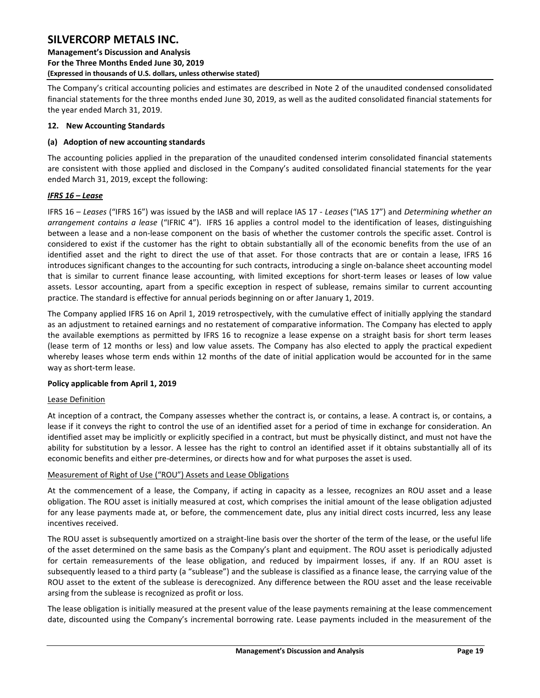The Company's critical accounting policies and estimates are described in Note 2 of the unaudited condensed consolidated financial statements for the three months ended June 30, 2019, as well as the audited consolidated financial statements for the year ended March 31, 2019.

### <span id="page-19-0"></span>**12. New Accounting Standards**

### **(a) Adoption of new accounting standards**

The accounting policies applied in the preparation of the unaudited condensed interim consolidated financial statements are consistent with those applied and disclosed in the Company's audited consolidated financial statements for the year ended March 31, 2019, except the following:

### *IFRS 16 – Lease*

IFRS 16 – *Leases* ("IFRS 16") was issued by the IASB and will replace IAS 17 - *Leases* ("IAS 17") and *Determining whether an arrangement contains a lease* ("IFRIC 4"). IFRS 16 applies a control model to the identification of leases, distinguishing between a lease and a non-lease component on the basis of whether the customer controls the specific asset. Control is considered to exist if the customer has the right to obtain substantially all of the economic benefits from the use of an identified asset and the right to direct the use of that asset. For those contracts that are or contain a lease, IFRS 16 introduces significant changes to the accounting for such contracts, introducing a single on-balance sheet accounting model that is similar to current finance lease accounting, with limited exceptions for short-term leases or leases of low value assets. Lessor accounting, apart from a specific exception in respect of sublease, remains similar to current accounting practice. The standard is effective for annual periods beginning on or after January 1, 2019.

The Company applied IFRS 16 on April 1, 2019 retrospectively, with the cumulative effect of initially applying the standard as an adjustment to retained earnings and no restatement of comparative information. The Company has elected to apply the available exemptions as permitted by IFRS 16 to recognize a lease expense on a straight basis for short term leases (lease term of 12 months or less) and low value assets. The Company has also elected to apply the practical expedient whereby leases whose term ends within 12 months of the date of initial application would be accounted for in the same way as short-term lease.

#### **Policy applicable from April 1, 2019**

#### Lease Definition

At inception of a contract, the Company assesses whether the contract is, or contains, a lease. A contract is, or contains, a lease if it conveys the right to control the use of an identified asset for a period of time in exchange for consideration. An identified asset may be implicitly or explicitly specified in a contract, but must be physically distinct, and must not have the ability for substitution by a lessor. A lessee has the right to control an identified asset if it obtains substantially all of its economic benefits and either pre-determines, or directs how and for what purposes the asset is used.

### Measurement of Right of Use ("ROU") Assets and Lease Obligations

At the commencement of a lease, the Company, if acting in capacity as a lessee, recognizes an ROU asset and a lease obligation. The ROU asset is initially measured at cost, which comprises the initial amount of the lease obligation adjusted for any lease payments made at, or before, the commencement date, plus any initial direct costs incurred, less any lease incentives received.

The ROU asset is subsequently amortized on a straight-line basis over the shorter of the term of the lease, or the useful life of the asset determined on the same basis as the Company's plant and equipment. The ROU asset is periodically adjusted for certain remeasurements of the lease obligation, and reduced by impairment losses, if any. If an ROU asset is subsequently leased to a third party (a "sublease") and the sublease is classified as a finance lease, the carrying value of the ROU asset to the extent of the sublease is derecognized. Any difference between the ROU asset and the lease receivable arsing from the sublease is recognized as profit or loss.

The lease obligation is initially measured at the present value of the lease payments remaining at the lease commencement date, discounted using the Company's incremental borrowing rate. Lease payments included in the measurement of the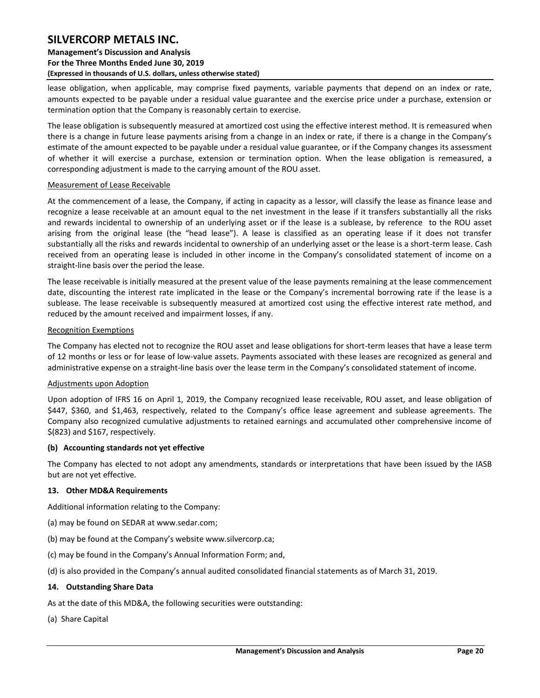### **Management's Discussion and Analysis For the Three Months Ended June 30, 2019 (Expressed in thousands of U.S. dollars, unless otherwise stated)**

lease obligation, when applicable, may comprise fixed payments, variable payments that depend on an index or rate, amounts expected to be payable under a residual value guarantee and the exercise price under a purchase, extension or termination option that the Company is reasonably certain to exercise.

The lease obligation is subsequently measured at amortized cost using the effective interest method. It is remeasured when there is a change in future lease payments arising from a change in an index or rate, if there is a change in the Company's estimate of the amount expected to be payable under a residual value guarantee, or if the Company changes its assessment of whether it will exercise a purchase, extension or termination option. When the lease obligation is remeasured, a corresponding adjustment is made to the carrying amount of the ROU asset.

#### Measurement of Lease Receivable

At the commencement of a lease, the Company, if acting in capacity as a lessor, will classify the lease as finance lease and recognize a lease receivable at an amount equal to the net investment in the lease if it transfers substantially all the risks and rewards incidental to ownership of an underlying asset or if the lease is a sublease, by reference to the ROU asset arising from the original lease (the "head lease"). A lease is classified as an operating lease if it does not transfer substantially all the risks and rewards incidental to ownership of an underlying asset or the lease is a short-term lease. Cash received from an operating lease is included in other income in the Company's consolidated statement of income on a straight-line basis over the period the lease.

The lease receivable is initially measured at the present value of the lease payments remaining at the lease commencement date, discounting the interest rate implicated in the lease or the Company's incremental borrowing rate if the lease is a sublease. The lease receivable is subsequently measured at amortized cost using the effective interest rate method, and reduced by the amount received and impairment losses, if any.

#### Recognition Exemptions

The Company has elected not to recognize the ROU asset and lease obligations for short-term leases that have a lease term of 12 months or less or for lease of low-value assets. Payments associated with these leases are recognized as general and administrative expense on a straight-line basis over the lease term in the Company's consolidated statement of income.

#### Adjustments upon Adoption

Upon adoption of IFRS 16 on April 1, 2019, the Company recognized lease receivable, ROU asset, and lease obligation of \$447, \$360, and \$1,463, respectively, related to the Company's office lease agreement and sublease agreements. The Company also recognized cumulative adjustments to retained earnings and accumulated other comprehensive income of \$(823) and \$167, respectively.

#### **(b) Accounting standards not yet effective**

The Company has elected to not adopt any amendments, standards or interpretations that have been issued by the IASB but are not yet effective.

#### <span id="page-20-0"></span>**13. Other MD&A Requirements**

Additional information relating to the Company:

- (a) may be found on SEDAR at www.sedar.com;
- (b) may be found at the Company's website www.silvercorp.ca;
- (c) may be found in the Company's Annual Information Form; and,

(d) is also provided in the Company's annual audited consolidated financial statements as of March 31, 2019.

#### <span id="page-20-1"></span>**14. Outstanding Share Data**

As at the date of this MD&A, the following securities were outstanding:

(a) Share Capital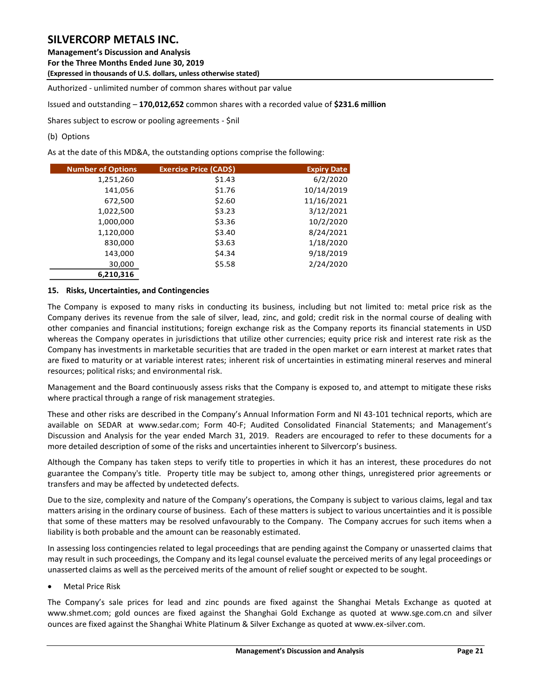### **Management's Discussion and Analysis**

**For the Three Months Ended June 30, 2019**

**(Expressed in thousands of U.S. dollars, unless otherwise stated)** 

Authorized - unlimited number of common shares without par value

Issued and outstanding – **170,012,652** common shares with a recorded value of **\$231.6 million** 

Shares subject to escrow or pooling agreements - \$nil

### (b) Options

As at the date of this MD&A, the outstanding options comprise the following:

| <b>Number of Options</b> | <b>Exercise Price (CADS)</b> | <b>Expiry Date</b> |
|--------------------------|------------------------------|--------------------|
| 1,251,260                | \$1.43                       | 6/2/2020           |
| 141,056                  | \$1.76                       | 10/14/2019         |
| 672,500                  | \$2.60                       | 11/16/2021         |
| 1,022,500                | \$3.23                       | 3/12/2021          |
| 1,000,000                | \$3.36                       | 10/2/2020          |
| 1,120,000                | \$3.40                       | 8/24/2021          |
| 830,000                  | \$3.63                       | 1/18/2020          |
| 143,000                  | \$4.34                       | 9/18/2019          |
| 30,000                   | \$5.58                       | 2/24/2020          |
| 6,210,316                |                              |                    |

### <span id="page-21-0"></span>**15. Risks, Uncertainties, and Contingencies**

The Company is exposed to many risks in conducting its business, including but not limited to: metal price risk as the Company derives its revenue from the sale of silver, lead, zinc, and gold; credit risk in the normal course of dealing with other companies and financial institutions; foreign exchange risk as the Company reports its financial statements in USD whereas the Company operates in jurisdictions that utilize other currencies; equity price risk and interest rate risk as the Company has investments in marketable securities that are traded in the open market or earn interest at market rates that are fixed to maturity or at variable interest rates; inherent risk of uncertainties in estimating mineral reserves and mineral resources; political risks; and environmental risk.

Management and the Board continuously assess risks that the Company is exposed to, and attempt to mitigate these risks where practical through a range of risk management strategies.

These and other risks are described in the Company's Annual Information Form and NI 43-101 technical reports, which are available on SEDAR at www.sedar.com; Form 40-F; Audited Consolidated Financial Statements; and Management's Discussion and Analysis for the year ended March 31, 2019. Readers are encouraged to refer to these documents for a more detailed description of some of the risks and uncertainties inherent to Silvercorp's business.

Although the Company has taken steps to verify title to properties in which it has an interest, these procedures do not guarantee the Company's title. Property title may be subject to, among other things, unregistered prior agreements or transfers and may be affected by undetected defects.

Due to the size, complexity and nature of the Company's operations, the Company is subject to various claims, legal and tax matters arising in the ordinary course of business. Each of these matters is subject to various uncertainties and it is possible that some of these matters may be resolved unfavourably to the Company. The Company accrues for such items when a liability is both probable and the amount can be reasonably estimated.

In assessing loss contingencies related to legal proceedings that are pending against the Company or unasserted claims that may result in such proceedings, the Company and its legal counsel evaluate the perceived merits of any legal proceedings or unasserted claims as well as the perceived merits of the amount of relief sought or expected to be sought.

Metal Price Risk

The Company's sale prices for lead and zinc pounds are fixed against the Shanghai Metals Exchange as quoted at [www.shmet.com;](http://www.shmet.com/) gold ounces are fixed against the Shanghai Gold Exchange as quoted at www.sge.com.cn and silver ounces are fixed against the Shanghai White Platinum & Silver Exchange as quoted at www.ex-silver.com.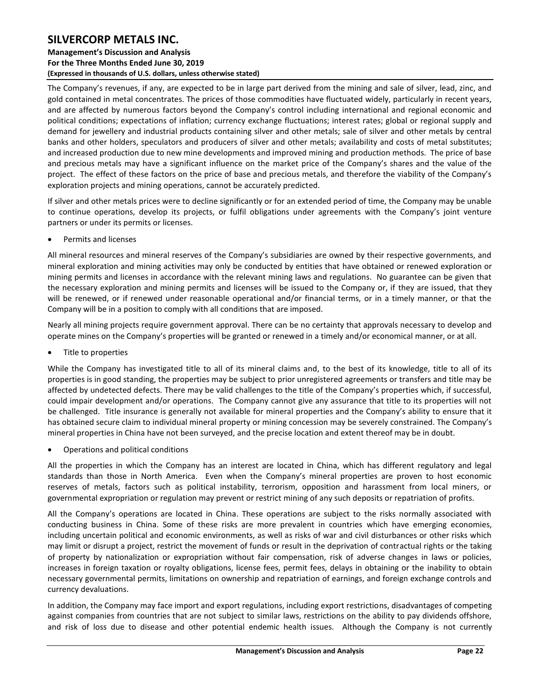### **Management's Discussion and Analysis For the Three Months Ended June 30, 2019 (Expressed in thousands of U.S. dollars, unless otherwise stated)**

The Company's revenues, if any, are expected to be in large part derived from the mining and sale of silver, lead, zinc, and gold contained in metal concentrates. The prices of those commodities have fluctuated widely, particularly in recent years, and are affected by numerous factors beyond the Company's control including international and regional economic and political conditions; expectations of inflation; currency exchange fluctuations; interest rates; global or regional supply and demand for jewellery and industrial products containing silver and other metals; sale of silver and other metals by central banks and other holders, speculators and producers of silver and other metals; availability and costs of metal substitutes; and increased production due to new mine developments and improved mining and production methods. The price of base and precious metals may have a significant influence on the market price of the Company's shares and the value of the project. The effect of these factors on the price of base and precious metals, and therefore the viability of the Company's exploration projects and mining operations, cannot be accurately predicted.

If silver and other metals prices were to decline significantly or for an extended period of time, the Company may be unable to continue operations, develop its projects, or fulfil obligations under agreements with the Company's joint venture partners or under its permits or licenses.

Permits and licenses

All mineral resources and mineral reserves of the Company's subsidiaries are owned by their respective governments, and mineral exploration and mining activities may only be conducted by entities that have obtained or renewed exploration or mining permits and licenses in accordance with the relevant mining laws and regulations. No guarantee can be given that the necessary exploration and mining permits and licenses will be issued to the Company or, if they are issued, that they will be renewed, or if renewed under reasonable operational and/or financial terms, or in a timely manner, or that the Company will be in a position to comply with all conditions that are imposed.

Nearly all mining projects require government approval. There can be no certainty that approvals necessary to develop and operate mines on the Company's properties will be granted or renewed in a timely and/or economical manner, or at all.

Title to properties

While the Company has investigated title to all of its mineral claims and, to the best of its knowledge, title to all of its properties is in good standing, the properties may be subject to prior unregistered agreements or transfers and title may be affected by undetected defects. There may be valid challenges to the title of the Company's properties which, if successful, could impair development and/or operations. The Company cannot give any assurance that title to its properties will not be challenged. Title insurance is generally not available for mineral properties and the Company's ability to ensure that it has obtained secure claim to individual mineral property or mining concession may be severely constrained. The Company's mineral properties in China have not been surveyed, and the precise location and extent thereof may be in doubt.

Operations and political conditions

All the properties in which the Company has an interest are located in China, which has different regulatory and legal standards than those in North America. Even when the Company's mineral properties are proven to host economic reserves of metals, factors such as political instability, terrorism, opposition and harassment from local miners, or governmental expropriation or regulation may prevent or restrict mining of any such deposits or repatriation of profits.

All the Company's operations are located in China. These operations are subject to the risks normally associated with conducting business in China. Some of these risks are more prevalent in countries which have emerging economies, including uncertain political and economic environments, as well as risks of war and civil disturbances or other risks which may limit or disrupt a project, restrict the movement of funds or result in the deprivation of contractual rights or the taking of property by nationalization or expropriation without fair compensation, risk of adverse changes in laws or policies, increases in foreign taxation or royalty obligations, license fees, permit fees, delays in obtaining or the inability to obtain necessary governmental permits, limitations on ownership and repatriation of earnings, and foreign exchange controls and currency devaluations.

In addition, the Company may face import and export regulations, including export restrictions, disadvantages of competing against companies from countries that are not subject to similar laws, restrictions on the ability to pay dividends offshore, and risk of loss due to disease and other potential endemic health issues. Although the Company is not currently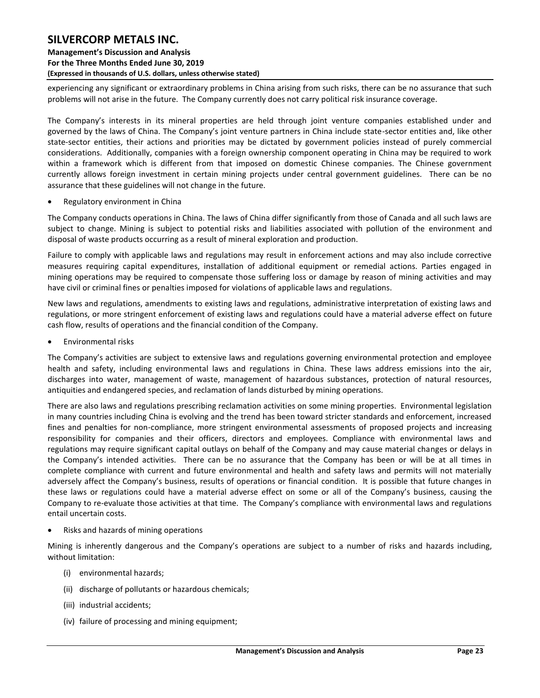### **SILVERCORP METALS INC. Management's Discussion and Analysis For the Three Months Ended June 30, 2019 (Expressed in thousands of U.S. dollars, unless otherwise stated)**

experiencing any significant or extraordinary problems in China arising from such risks, there can be no assurance that such problems will not arise in the future. The Company currently does not carry political risk insurance coverage.

The Company's interests in its mineral properties are held through joint venture companies established under and governed by the laws of China. The Company's joint venture partners in China include state-sector entities and, like other state-sector entities, their actions and priorities may be dictated by government policies instead of purely commercial considerations. Additionally, companies with a foreign ownership component operating in China may be required to work within a framework which is different from that imposed on domestic Chinese companies. The Chinese government currently allows foreign investment in certain mining projects under central government guidelines. There can be no assurance that these guidelines will not change in the future.

Regulatory environment in China

The Company conducts operations in China. The laws of China differ significantly from those of Canada and all such laws are subject to change. Mining is subject to potential risks and liabilities associated with pollution of the environment and disposal of waste products occurring as a result of mineral exploration and production.

Failure to comply with applicable laws and regulations may result in enforcement actions and may also include corrective measures requiring capital expenditures, installation of additional equipment or remedial actions. Parties engaged in mining operations may be required to compensate those suffering loss or damage by reason of mining activities and may have civil or criminal fines or penalties imposed for violations of applicable laws and regulations.

New laws and regulations, amendments to existing laws and regulations, administrative interpretation of existing laws and regulations, or more stringent enforcement of existing laws and regulations could have a material adverse effect on future cash flow, results of operations and the financial condition of the Company.

Environmental risks

The Company's activities are subject to extensive laws and regulations governing environmental protection and employee health and safety, including environmental laws and regulations in China. These laws address emissions into the air, discharges into water, management of waste, management of hazardous substances, protection of natural resources, antiquities and endangered species, and reclamation of lands disturbed by mining operations.

There are also laws and regulations prescribing reclamation activities on some mining properties. Environmental legislation in many countries including China is evolving and the trend has been toward stricter standards and enforcement, increased fines and penalties for non-compliance, more stringent environmental assessments of proposed projects and increasing responsibility for companies and their officers, directors and employees. Compliance with environmental laws and regulations may require significant capital outlays on behalf of the Company and may cause material changes or delays in the Company's intended activities. There can be no assurance that the Company has been or will be at all times in complete compliance with current and future environmental and health and safety laws and permits will not materially adversely affect the Company's business, results of operations or financial condition. It is possible that future changes in these laws or regulations could have a material adverse effect on some or all of the Company's business, causing the Company to re-evaluate those activities at that time. The Company's compliance with environmental laws and regulations entail uncertain costs.

Risks and hazards of mining operations

Mining is inherently dangerous and the Company's operations are subject to a number of risks and hazards including, without limitation:

- (i) environmental hazards;
- (ii) discharge of pollutants or hazardous chemicals;
- (iii) industrial accidents;
- (iv) failure of processing and mining equipment;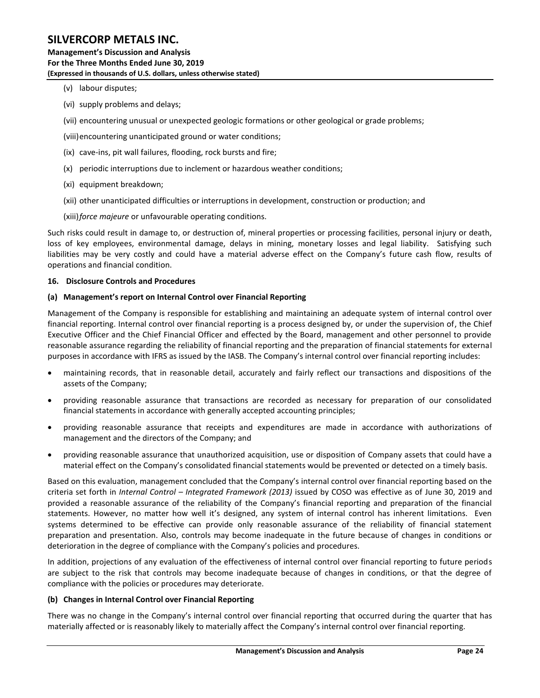- (v) labour disputes;
- (vi) supply problems and delays;
- (vii) encountering unusual or unexpected geologic formations or other geological or grade problems;
- (viii)encountering unanticipated ground or water conditions;
- (ix) cave-ins, pit wall failures, flooding, rock bursts and fire;
- (x) periodic interruptions due to inclement or hazardous weather conditions;
- (xi) equipment breakdown;
- (xii) other unanticipated difficulties or interruptions in development, construction or production; and
- (xiii)*force majeure* or unfavourable operating conditions.

Such risks could result in damage to, or destruction of, mineral properties or processing facilities, personal injury or death, loss of key employees, environmental damage, delays in mining, monetary losses and legal liability. Satisfying such liabilities may be very costly and could have a material adverse effect on the Company's future cash flow, results of operations and financial condition.

#### <span id="page-24-0"></span>**16. Disclosure Controls and Procedures**

#### **(a) Management's report on Internal Control over Financial Reporting**

Management of the Company is responsible for establishing and maintaining an adequate system of internal control over financial reporting. Internal control over financial reporting is a process designed by, or under the supervision of, the Chief Executive Officer and the Chief Financial Officer and effected by the Board, management and other personnel to provide reasonable assurance regarding the reliability of financial reporting and the preparation of financial statements for external purposes in accordance with IFRS as issued by the IASB. The Company's internal control over financial reporting includes:

- maintaining records, that in reasonable detail, accurately and fairly reflect our transactions and dispositions of the assets of the Company;
- providing reasonable assurance that transactions are recorded as necessary for preparation of our consolidated financial statements in accordance with generally accepted accounting principles;
- providing reasonable assurance that receipts and expenditures are made in accordance with authorizations of management and the directors of the Company; and
- providing reasonable assurance that unauthorized acquisition, use or disposition of Company assets that could have a material effect on the Company's consolidated financial statements would be prevented or detected on a timely basis.

Based on this evaluation, management concluded that the Company's internal control over financial reporting based on the criteria set forth in *Internal Control – Integrated Framework (2013)* issued by COSO was effective as of June 30, 2019 and provided a reasonable assurance of the reliability of the Company's financial reporting and preparation of the financial statements. However, no matter how well it's designed, any system of internal control has inherent limitations. Even systems determined to be effective can provide only reasonable assurance of the reliability of financial statement preparation and presentation. Also, controls may become inadequate in the future because of changes in conditions or deterioration in the degree of compliance with the Company's policies and procedures.

In addition, projections of any evaluation of the effectiveness of internal control over financial reporting to future periods are subject to the risk that controls may become inadequate because of changes in conditions, or that the degree of compliance with the policies or procedures may deteriorate.

#### **(b) Changes in Internal Control over Financial Reporting**

There was no change in the Company's internal control over financial reporting that occurred during the quarter that has materially affected or is reasonably likely to materially affect the Company's internal control over financial reporting.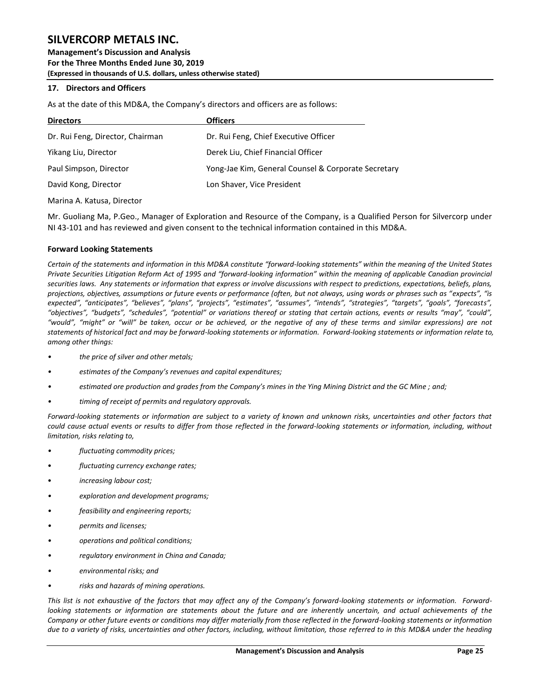**Management's Discussion and Analysis For the Three Months Ended June 30, 2019 (Expressed in thousands of U.S. dollars, unless otherwise stated)** 

### <span id="page-25-0"></span>**17. Directors and Officers**

As at the date of this MD&A, the Company's directors and officers are as follows:

| <b>Directors</b>                 | <b>Officers</b>                                     |
|----------------------------------|-----------------------------------------------------|
| Dr. Rui Feng, Director, Chairman | Dr. Rui Feng, Chief Executive Officer               |
| Yikang Liu, Director             | Derek Liu, Chief Financial Officer                  |
| Paul Simpson, Director           | Yong-Jae Kim, General Counsel & Corporate Secretary |
| David Kong, Director             | Lon Shaver, Vice President                          |

Marina A. Katusa, Director

Mr. Guoliang Ma, P.Geo., Manager of Exploration and Resource of the Company, is a Qualified Person for Silvercorp under NI 43-101 and has reviewed and given consent to the technical information contained in this MD&A.

### <span id="page-25-1"></span>**Forward Looking Statements**

*Certain of the statements and information in this MD&A constitute "forward-looking statements" within the meaning of the United States Private Securities Litigation Reform Act of 1995 and "forward-looking information" within the meaning of applicable Canadian provincial securities laws. Any statements or information that express or involve discussions with respect to predictions, expectations, beliefs, plans, projections, objectives, assumptions or future events or performance (often, but not always, using words or phrases such as "expects", "is expected", "anticipates", "believes", "plans", "projects", "estimates", "assumes", "intends", "strategies", "targets", "goals", "forecasts", "objectives", "budgets", "schedules", "potential" or variations thereof or stating that certain actions, events or results "may", "could", "would", "might" or "will" be taken, occur or be achieved, or the negative of any of these terms and similar expressions) are not statements of historical fact and may be forward-looking statements or information. Forward-looking statements or information relate to, among other things:*

- *• the price of silver and other metals;*
- *• estimates of the Company's revenues and capital expenditures;*
- *• estimated ore production and grades from the Company's mines in the Ying Mining District and the GC Mine ; and;*
- *• timing of receipt of permits and regulatory approvals.*

*Forward-looking statements or information are subject to a variety of known and unknown risks, uncertainties and other factors that could cause actual events or results to differ from those reflected in the forward-looking statements or information, including, without limitation, risks relating to,* 

- *• fluctuating commodity prices;*
- *fluctuating currency exchange rates;*
- *increasing labour cost;*
- *• exploration and development programs;*
- *• feasibility and engineering reports;*
- *• permits and licenses;*
- *• operations and political conditions;*
- *• regulatory environment in China and Canada;*
- *• environmental risks; and*
- *• risks and hazards of mining operations.*

*This list is not exhaustive of the factors that may affect any of the Company's forward-looking statements or information. Forwardlooking statements or information are statements about the future and are inherently uncertain, and actual achievements of the Company or other future events or conditions may differ materially from those reflected in the forward-looking statements or information due to a variety of risks, uncertainties and other factors, including, without limitation, those referred to in this MD&A under the heading*